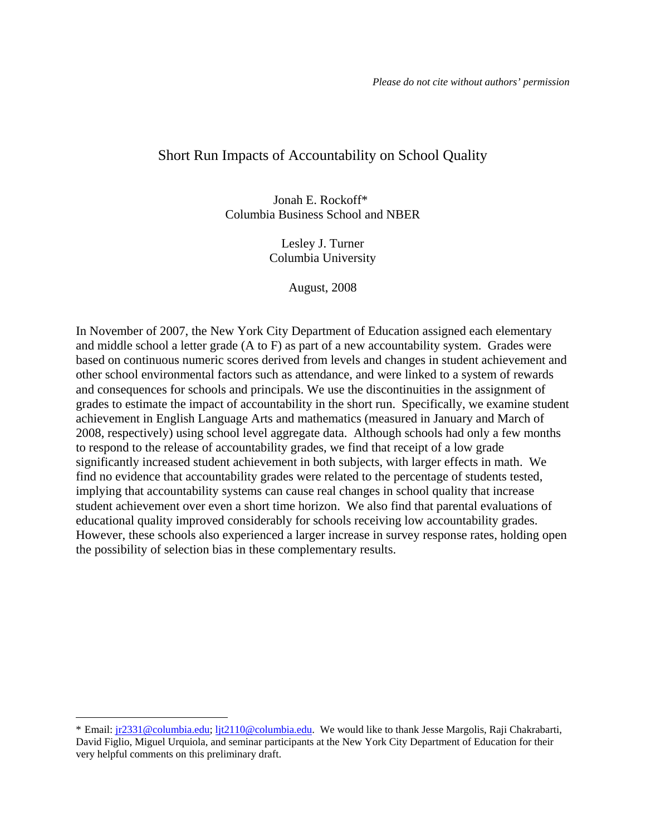### Short Run Impacts of Accountability on School Quality

Jonah E. Rockoff\* Columbia Business School and NBER

> Lesley J. Turner Columbia University

> > August, 2008

In November of 2007, the New York City Department of Education assigned each elementary and middle school a letter grade (A to F) as part of a new accountability system. Grades were based on continuous numeric scores derived from levels and changes in student achievement and other school environmental factors such as attendance, and were linked to a system of rewards and consequences for schools and principals. We use the discontinuities in the assignment of grades to estimate the impact of accountability in the short run. Specifically, we examine student achievement in English Language Arts and mathematics (measured in January and March of 2008, respectively) using school level aggregate data. Although schools had only a few months to respond to the release of accountability grades, we find that receipt of a low grade significantly increased student achievement in both subjects, with larger effects in math. We find no evidence that accountability grades were related to the percentage of students tested, implying that accountability systems can cause real changes in school quality that increase student achievement over even a short time horizon. We also find that parental evaluations of educational quality improved considerably for schools receiving low accountability grades. However, these schools also experienced a larger increase in survey response rates, holding open the possibility of selection bias in these complementary results.

<sup>\*</sup> Email: jr2331@columbia.edu; ljt2110@columbia.edu. We would like to thank Jesse Margolis, Raji Chakrabarti, David Figlio, Miguel Urquiola, and seminar participants at the New York City Department of Education for their very helpful comments on this preliminary draft.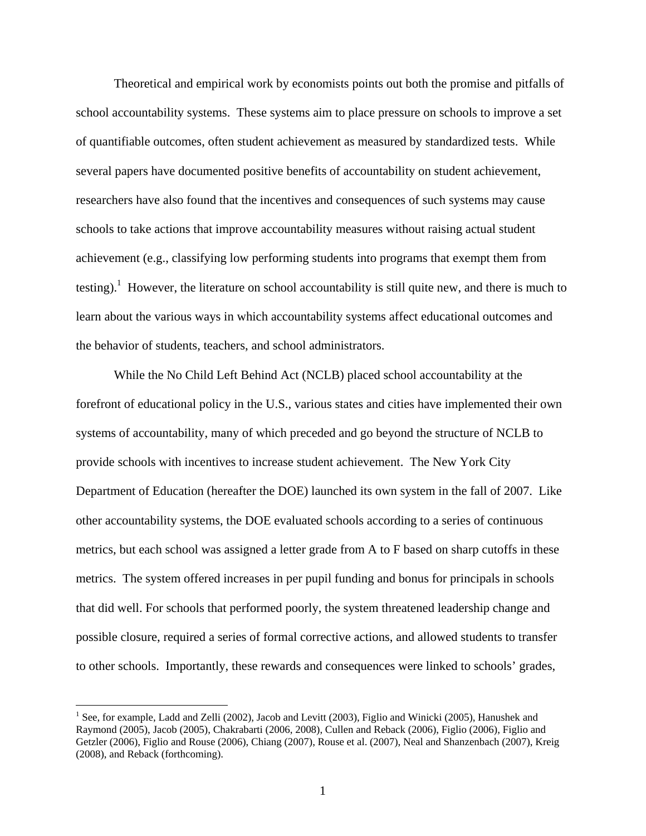Theoretical and empirical work by economists points out both the promise and pitfalls of school accountability systems. These systems aim to place pressure on schools to improve a set of quantifiable outcomes, often student achievement as measured by standardized tests. While several papers have documented positive benefits of accountability on student achievement, researchers have also found that the incentives and consequences of such systems may cause schools to take actions that improve accountability measures without raising actual student achievement (e.g., classifying low performing students into programs that exempt them from testing).<sup>1</sup> However, the literature on school accountability is still quite new, and there is much to learn about the various ways in which accountability systems affect educational outcomes and the behavior of students, teachers, and school administrators.

 While the No Child Left Behind Act (NCLB) placed school accountability at the forefront of educational policy in the U.S., various states and cities have implemented their own systems of accountability, many of which preceded and go beyond the structure of NCLB to provide schools with incentives to increase student achievement. The New York City Department of Education (hereafter the DOE) launched its own system in the fall of 2007. Like other accountability systems, the DOE evaluated schools according to a series of continuous metrics, but each school was assigned a letter grade from A to F based on sharp cutoffs in these metrics. The system offered increases in per pupil funding and bonus for principals in schools that did well. For schools that performed poorly, the system threatened leadership change and possible closure, required a series of formal corrective actions, and allowed students to transfer to other schools. Importantly, these rewards and consequences were linked to schools' grades,

<sup>&</sup>lt;sup>1</sup> See, for example, Ladd and Zelli (2002), Jacob and Levitt (2003), Figlio and Winicki (2005), Hanushek and Raymond (2005), Jacob (2005), Chakrabarti (2006, 2008), Cullen and Reback (2006), Figlio (2006), Figlio and Getzler (2006), Figlio and Rouse (2006), Chiang (2007), Rouse et al. (2007), Neal and Shanzenbach (2007), Kreig (2008), and Reback (forthcoming).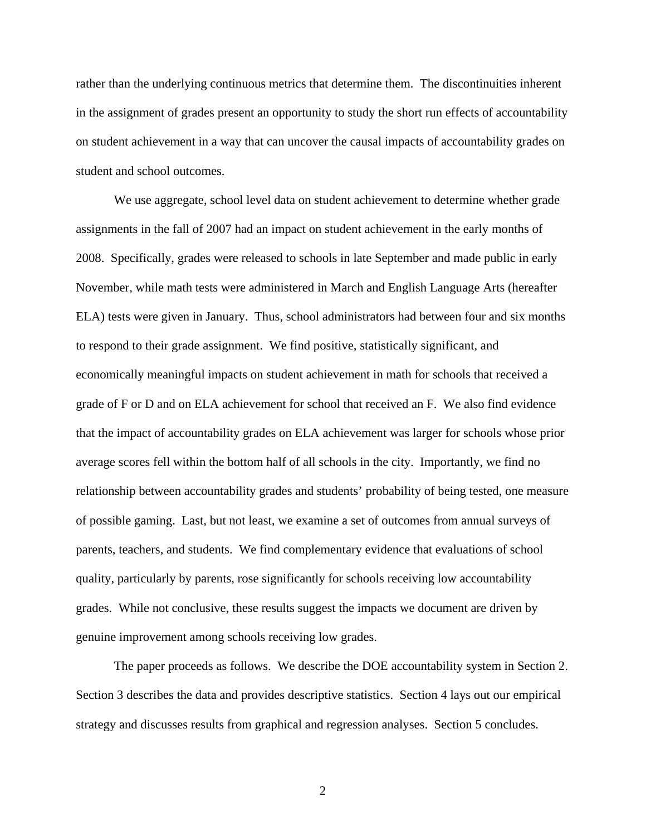rather than the underlying continuous metrics that determine them. The discontinuities inherent in the assignment of grades present an opportunity to study the short run effects of accountability on student achievement in a way that can uncover the causal impacts of accountability grades on student and school outcomes.

 We use aggregate, school level data on student achievement to determine whether grade assignments in the fall of 2007 had an impact on student achievement in the early months of 2008. Specifically, grades were released to schools in late September and made public in early November, while math tests were administered in March and English Language Arts (hereafter ELA) tests were given in January. Thus, school administrators had between four and six months to respond to their grade assignment. We find positive, statistically significant, and economically meaningful impacts on student achievement in math for schools that received a grade of F or D and on ELA achievement for school that received an F. We also find evidence that the impact of accountability grades on ELA achievement was larger for schools whose prior average scores fell within the bottom half of all schools in the city. Importantly, we find no relationship between accountability grades and students' probability of being tested, one measure of possible gaming. Last, but not least, we examine a set of outcomes from annual surveys of parents, teachers, and students. We find complementary evidence that evaluations of school quality, particularly by parents, rose significantly for schools receiving low accountability grades. While not conclusive, these results suggest the impacts we document are driven by genuine improvement among schools receiving low grades.

 The paper proceeds as follows. We describe the DOE accountability system in Section 2. Section 3 describes the data and provides descriptive statistics. Section 4 lays out our empirical strategy and discusses results from graphical and regression analyses. Section 5 concludes.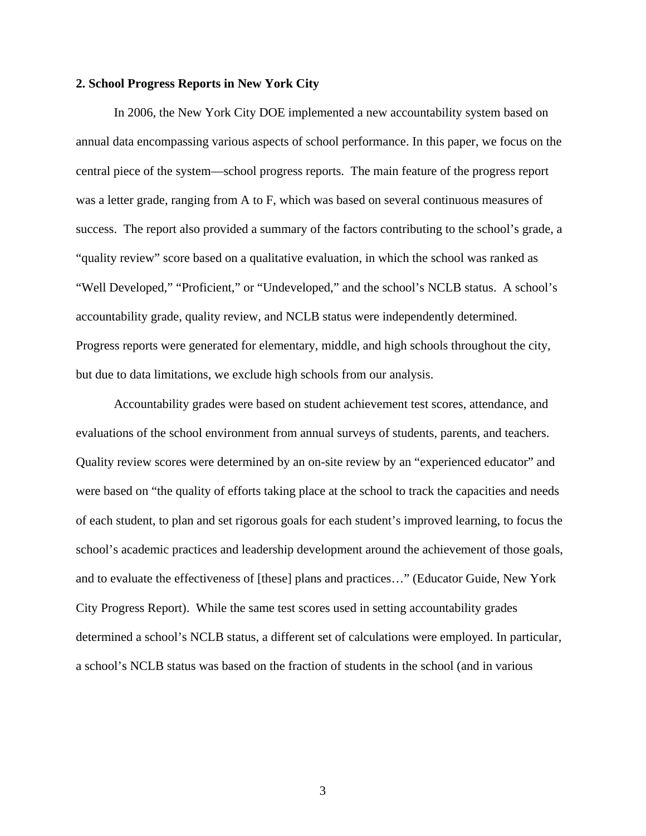#### **2. School Progress Reports in New York City**

In 2006, the New York City DOE implemented a new accountability system based on annual data encompassing various aspects of school performance. In this paper, we focus on the central piece of the system—school progress reports. The main feature of the progress report was a letter grade, ranging from A to F, which was based on several continuous measures of success. The report also provided a summary of the factors contributing to the school's grade, a "quality review" score based on a qualitative evaluation, in which the school was ranked as "Well Developed," "Proficient," or "Undeveloped," and the school's NCLB status. A school's accountability grade, quality review, and NCLB status were independently determined. Progress reports were generated for elementary, middle, and high schools throughout the city, but due to data limitations, we exclude high schools from our analysis.

Accountability grades were based on student achievement test scores, attendance, and evaluations of the school environment from annual surveys of students, parents, and teachers. Quality review scores were determined by an on-site review by an "experienced educator" and were based on "the quality of efforts taking place at the school to track the capacities and needs of each student, to plan and set rigorous goals for each student's improved learning, to focus the school's academic practices and leadership development around the achievement of those goals, and to evaluate the effectiveness of [these] plans and practices…" (Educator Guide, New York City Progress Report). While the same test scores used in setting accountability grades determined a school's NCLB status, a different set of calculations were employed. In particular, a school's NCLB status was based on the fraction of students in the school (and in various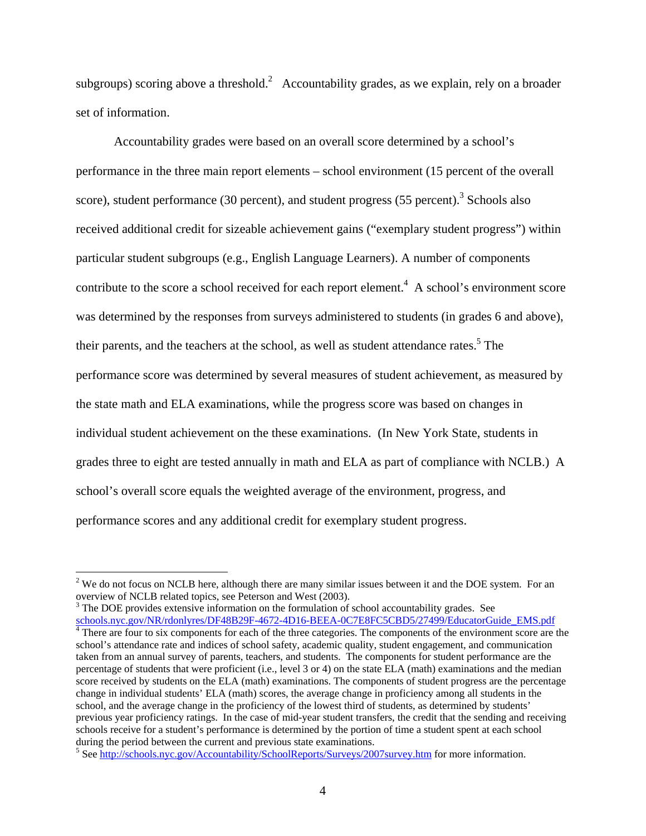subgroups) scoring above a threshold.<sup>2</sup> Accountability grades, as we explain, rely on a broader set of information.

Accountability grades were based on an overall score determined by a school's performance in the three main report elements – school environment (15 percent of the overall score), student performance (30 percent), and student progress (55 percent).<sup>3</sup> Schools also received additional credit for sizeable achievement gains ("exemplary student progress") within particular student subgroups (e.g., English Language Learners). A number of components contribute to the score a school received for each report element.<sup>4</sup> A school's environment score was determined by the responses from surveys administered to students (in grades 6 and above), their parents, and the teachers at the school, as well as student attendance rates.<sup>5</sup> The performance score was determined by several measures of student achievement, as measured by the state math and ELA examinations, while the progress score was based on changes in individual student achievement on the these examinations. (In New York State, students in grades three to eight are tested annually in math and ELA as part of compliance with NCLB.) A school's overall score equals the weighted average of the environment, progress, and performance scores and any additional credit for exemplary student progress.

 $2$  We do not focus on NCLB here, although there are many similar issues between it and the DOE system. For an overview of NCLB related topics, see Peterson and West (2003).

 $3$  The DOE provides extensive information on the formulation of school accountability grades. See schools.nyc.gov/NR/rdonlyres/DF48B29F-4672-4D16-BEEA-0C7E8FC5CBD5/27499/EducatorGuide\_EMS.pdf 4

<sup>&</sup>lt;sup>4</sup> There are four to six components for each of the three categories. The components of the environment score are the school's attendance rate and indices of school safety, academic quality, student engagement, and communication taken from an annual survey of parents, teachers, and students. The components for student performance are the percentage of students that were proficient (i.e., level 3 or 4) on the state ELA (math) examinations and the median score received by students on the ELA (math) examinations. The components of student progress are the percentage change in individual students' ELA (math) scores, the average change in proficiency among all students in the school, and the average change in the proficiency of the lowest third of students, as determined by students' previous year proficiency ratings. In the case of mid-year student transfers, the credit that the sending and receiving schools receive for a student's performance is determined by the portion of time a student spent at each school during the period between the current and previous state examinations.

<sup>&</sup>lt;sup>5</sup> See http://schools.nyc.gov/Accountability/SchoolReports/Surveys/2007survey.htm for more information.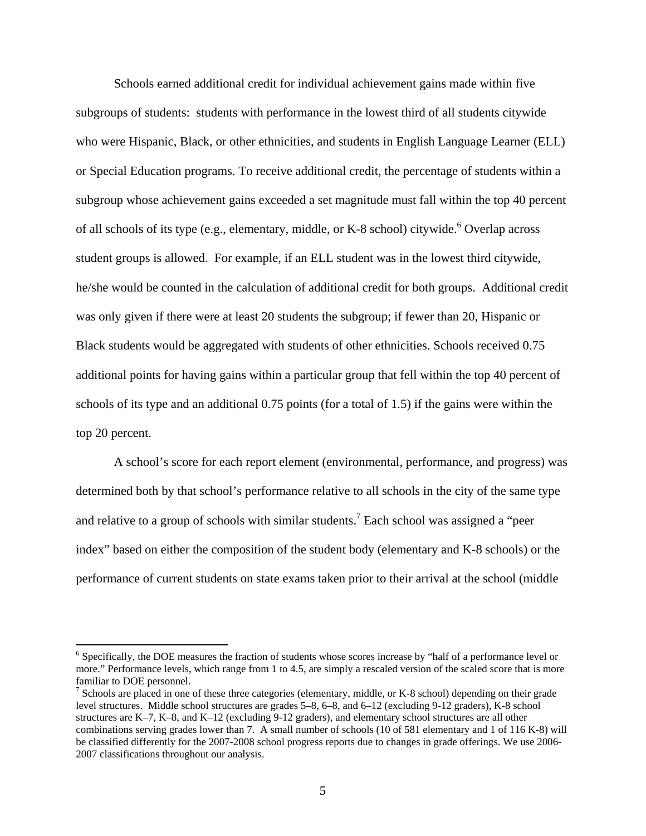Schools earned additional credit for individual achievement gains made within five subgroups of students: students with performance in the lowest third of all students citywide who were Hispanic, Black, or other ethnicities, and students in English Language Learner (ELL) or Special Education programs. To receive additional credit, the percentage of students within a subgroup whose achievement gains exceeded a set magnitude must fall within the top 40 percent of all schools of its type (e.g., elementary, middle, or K-8 school) citywide.<sup>6</sup> Overlap across student groups is allowed. For example, if an ELL student was in the lowest third citywide, he/she would be counted in the calculation of additional credit for both groups. Additional credit was only given if there were at least 20 students the subgroup; if fewer than 20, Hispanic or Black students would be aggregated with students of other ethnicities. Schools received 0.75 additional points for having gains within a particular group that fell within the top 40 percent of schools of its type and an additional 0.75 points (for a total of 1.5) if the gains were within the top 20 percent.

A school's score for each report element (environmental, performance, and progress) was determined both by that school's performance relative to all schools in the city of the same type and relative to a group of schools with similar students.<sup>7</sup> Each school was assigned a "peer index" based on either the composition of the student body (elementary and K-8 schools) or the performance of current students on state exams taken prior to their arrival at the school (middle

<sup>&</sup>lt;sup>6</sup> Specifically, the DOE measures the fraction of students whose scores increase by "half of a performance level or more." Performance levels, which range from 1 to 4.5, are simply a rescaled version of the scaled score that is more familiar to DOE personnel.

<sup>&</sup>lt;sup>7</sup> Schools are placed in one of these three categories (elementary, middle, or K-8 school) depending on their grade level structures. Middle school structures are grades 5–8, 6–8, and 6–12 (excluding 9-12 graders), K-8 school structures are K–7, K–8, and K–12 (excluding 9-12 graders), and elementary school structures are all other combinations serving grades lower than 7. A small number of schools (10 of 581 elementary and 1 of 116 K-8) will be classified differently for the 2007-2008 school progress reports due to changes in grade offerings. We use 2006- 2007 classifications throughout our analysis.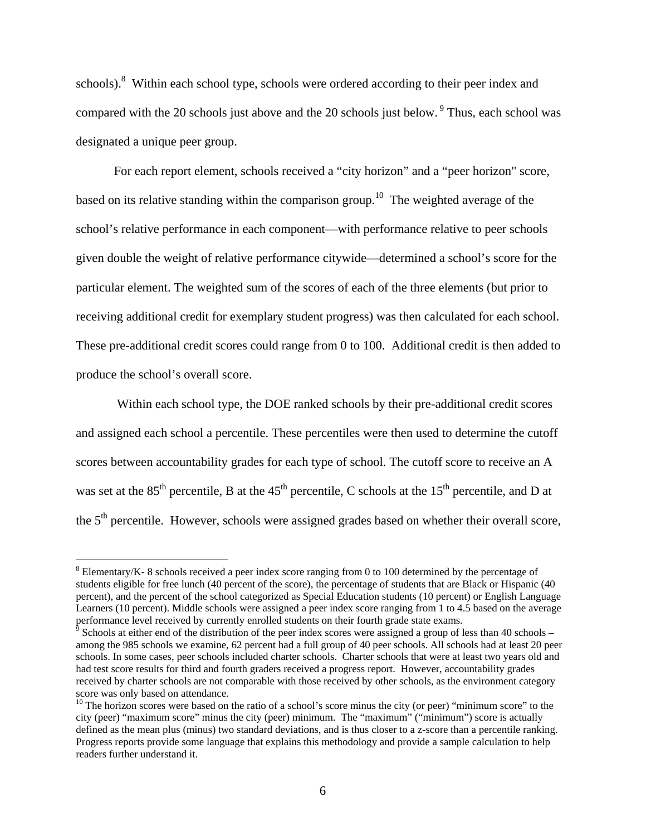schools).<sup>8</sup> Within each school type, schools were ordered according to their peer index and compared with the 20 schools just above and the 20 schools just below. <sup>9</sup> Thus, each school was designated a unique peer group.

For each report element, schools received a "city horizon" and a "peer horizon" score, based on its relative standing within the comparison group.<sup>10</sup> The weighted average of the school's relative performance in each component—with performance relative to peer schools given double the weight of relative performance citywide—determined a school's score for the particular element. The weighted sum of the scores of each of the three elements (but prior to receiving additional credit for exemplary student progress) was then calculated for each school. These pre-additional credit scores could range from 0 to 100. Additional credit is then added to produce the school's overall score.

 Within each school type, the DOE ranked schools by their pre-additional credit scores and assigned each school a percentile. These percentiles were then used to determine the cutoff scores between accountability grades for each type of school. The cutoff score to receive an A was set at the  $85<sup>th</sup>$  percentile, B at the  $45<sup>th</sup>$  percentile, C schools at the  $15<sup>th</sup>$  percentile, and D at the 5<sup>th</sup> percentile. However, schools were assigned grades based on whether their overall score,

 $8$  Elementary/K- 8 schools received a peer index score ranging from 0 to 100 determined by the percentage of students eligible for free lunch (40 percent of the score), the percentage of students that are Black or Hispanic (40 percent), and the percent of the school categorized as Special Education students (10 percent) or English Language Learners (10 percent). Middle schools were assigned a peer index score ranging from 1 to 4.5 based on the average performance level received by currently enrolled students on their fourth grade state exams.

 $\degree$  Schools at either end of the distribution of the peer index scores were assigned a group of less than 40 schools – among the 985 schools we examine, 62 percent had a full group of 40 peer schools. All schools had at least 20 peer schools. In some cases, peer schools included charter schools. Charter schools that were at least two years old and had test score results for third and fourth graders received a progress report. However, accountability grades received by charter schools are not comparable with those received by other schools, as the environment category score was only based on attendance.

 $10$  The horizon scores were based on the ratio of a school's score minus the city (or peer) "minimum score" to the city (peer) "maximum score" minus the city (peer) minimum. The "maximum" ("minimum") score is actually defined as the mean plus (minus) two standard deviations, and is thus closer to a z-score than a percentile ranking. Progress reports provide some language that explains this methodology and provide a sample calculation to help readers further understand it.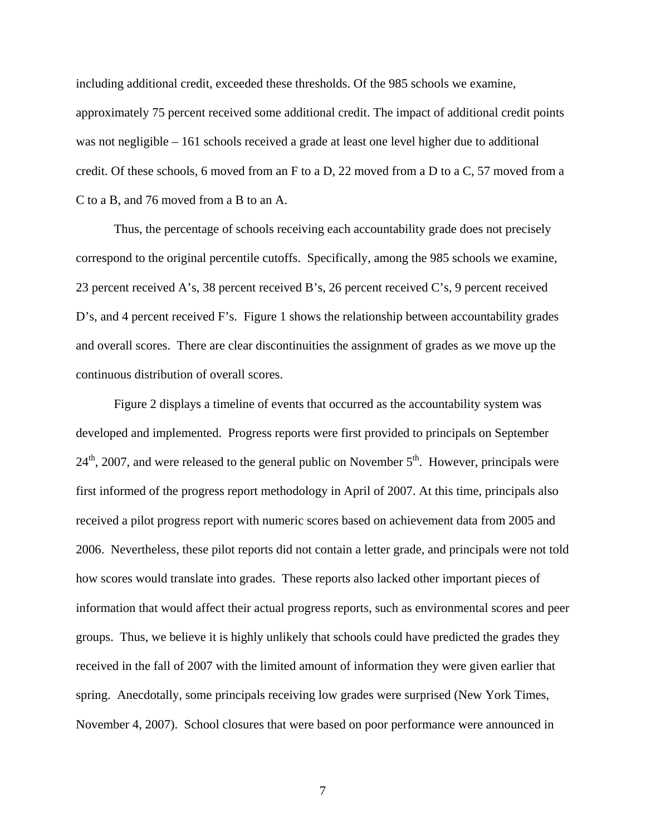including additional credit, exceeded these thresholds. Of the 985 schools we examine, approximately 75 percent received some additional credit. The impact of additional credit points was not negligible – 161 schools received a grade at least one level higher due to additional credit. Of these schools, 6 moved from an F to a D, 22 moved from a D to a C, 57 moved from a C to a B, and 76 moved from a B to an A.

Thus, the percentage of schools receiving each accountability grade does not precisely correspond to the original percentile cutoffs. Specifically, among the 985 schools we examine, 23 percent received A's, 38 percent received B's, 26 percent received C's, 9 percent received D's, and 4 percent received F's. Figure 1 shows the relationship between accountability grades and overall scores. There are clear discontinuities the assignment of grades as we move up the continuous distribution of overall scores.

Figure 2 displays a timeline of events that occurred as the accountability system was developed and implemented. Progress reports were first provided to principals on September  $24<sup>th</sup>$ , 2007, and were released to the general public on November  $5<sup>th</sup>$ . However, principals were first informed of the progress report methodology in April of 2007. At this time, principals also received a pilot progress report with numeric scores based on achievement data from 2005 and 2006. Nevertheless, these pilot reports did not contain a letter grade, and principals were not told how scores would translate into grades. These reports also lacked other important pieces of information that would affect their actual progress reports, such as environmental scores and peer groups. Thus, we believe it is highly unlikely that schools could have predicted the grades they received in the fall of 2007 with the limited amount of information they were given earlier that spring. Anecdotally, some principals receiving low grades were surprised (New York Times, November 4, 2007). School closures that were based on poor performance were announced in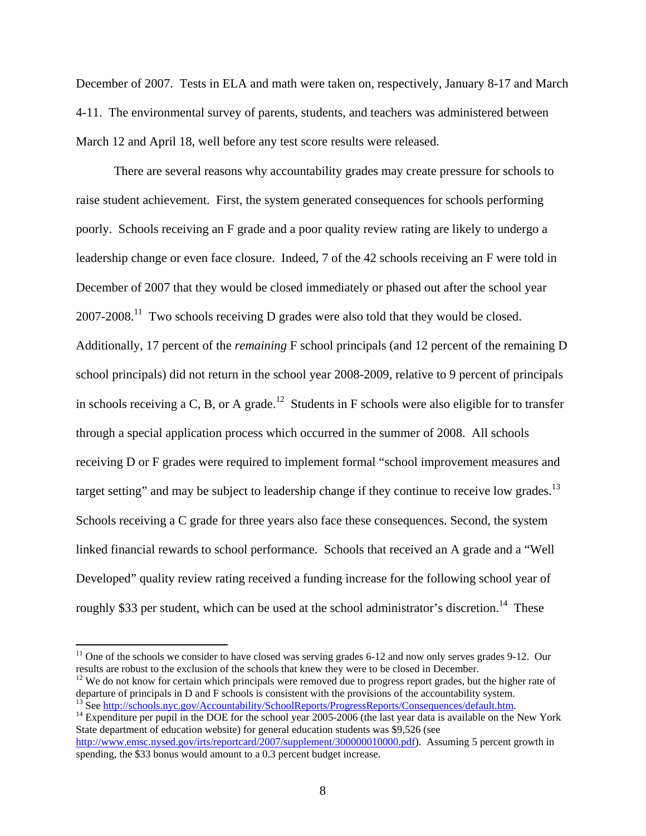December of 2007. Tests in ELA and math were taken on, respectively, January 8-17 and March 4-11. The environmental survey of parents, students, and teachers was administered between March 12 and April 18, well before any test score results were released.

There are several reasons why accountability grades may create pressure for schools to raise student achievement. First, the system generated consequences for schools performing poorly. Schools receiving an F grade and a poor quality review rating are likely to undergo a leadership change or even face closure. Indeed, 7 of the 42 schools receiving an F were told in December of 2007 that they would be closed immediately or phased out after the school year  $2007-2008$ <sup>11</sup> Two schools receiving D grades were also told that they would be closed. Additionally, 17 percent of the *remaining* F school principals (and 12 percent of the remaining D school principals) did not return in the school year 2008-2009, relative to 9 percent of principals in schools receiving a C, B, or A grade.<sup>12</sup> Students in F schools were also eligible for to transfer through a special application process which occurred in the summer of 2008. All schools receiving D or F grades were required to implement formal "school improvement measures and target setting" and may be subject to leadership change if they continue to receive low grades.<sup>13</sup> Schools receiving a C grade for three years also face these consequences. Second, the system linked financial rewards to school performance. Schools that received an A grade and a "Well Developed" quality review rating received a funding increase for the following school year of roughly \$33 per student, which can be used at the school administrator's discretion.<sup>14</sup> These

<sup>&</sup>lt;sup>11</sup> One of the schools we consider to have closed was serving grades 6-12 and now only serves grades 9-12. Our results are robust to the exclusion of the schools that knew they were to be closed in December.

<sup>&</sup>lt;sup>12</sup> We do not know for certain which principals were removed due to progress report grades, but the higher rate of departure of principals in D and F schools is consistent with the provisions of the accountability system.

<sup>&</sup>lt;sup>13</sup> See http://schools.nyc.gov/Accountability/SchoolReports/ProgressReports/Consequences/default.htm. <sup>14</sup> Expenditure per pupil in the DOE for the school year 2005-2006 (the last year data is available on the New York

State department of education website) for general education students was \$9,526 (see http://www.emsc.nysed.gov/irts/reportcard/2007/supplement/300000010000.pdf). Assuming 5 percent growth in spending, the \$33 bonus would amount to a 0.3 percent budget increase.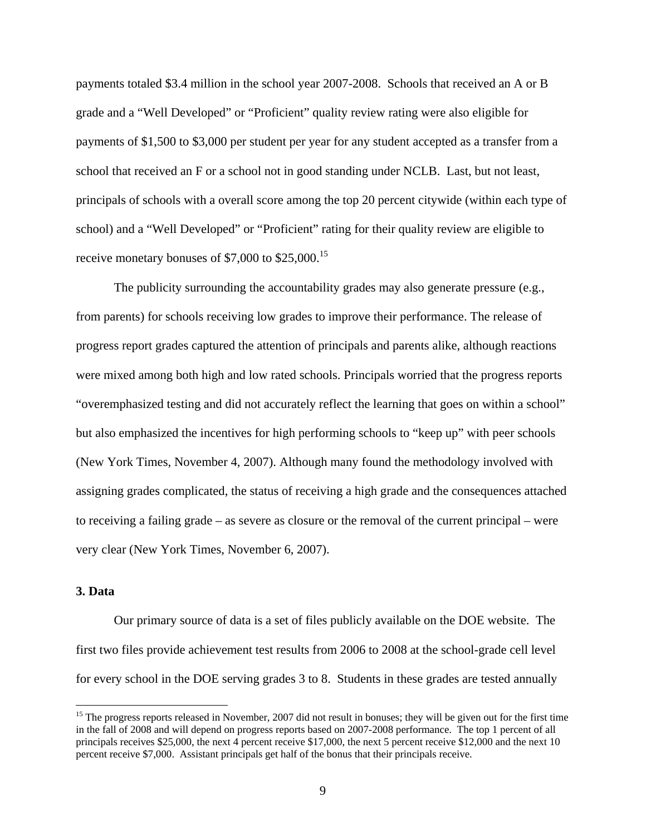payments totaled \$3.4 million in the school year 2007-2008. Schools that received an A or B grade and a "Well Developed" or "Proficient" quality review rating were also eligible for payments of \$1,500 to \$3,000 per student per year for any student accepted as a transfer from a school that received an F or a school not in good standing under NCLB. Last, but not least, principals of schools with a overall score among the top 20 percent citywide (within each type of school) and a "Well Developed" or "Proficient" rating for their quality review are eligible to receive monetary bonuses of  $$7,000$  to  $$25,000$ .<sup>15</sup>

The publicity surrounding the accountability grades may also generate pressure (e.g., from parents) for schools receiving low grades to improve their performance. The release of progress report grades captured the attention of principals and parents alike, although reactions were mixed among both high and low rated schools. Principals worried that the progress reports "overemphasized testing and did not accurately reflect the learning that goes on within a school" but also emphasized the incentives for high performing schools to "keep up" with peer schools (New York Times, November 4, 2007). Although many found the methodology involved with assigning grades complicated, the status of receiving a high grade and the consequences attached to receiving a failing grade – as severe as closure or the removal of the current principal – were very clear (New York Times, November 6, 2007).

#### **3. Data**

 $\overline{a}$ 

 Our primary source of data is a set of files publicly available on the DOE website. The first two files provide achievement test results from 2006 to 2008 at the school-grade cell level for every school in the DOE serving grades 3 to 8. Students in these grades are tested annually

 $15$  The progress reports released in November, 2007 did not result in bonuses; they will be given out for the first time in the fall of 2008 and will depend on progress reports based on 2007-2008 performance. The top 1 percent of all principals receives \$25,000, the next 4 percent receive \$17,000, the next 5 percent receive \$12,000 and the next 10 percent receive \$7,000. Assistant principals get half of the bonus that their principals receive.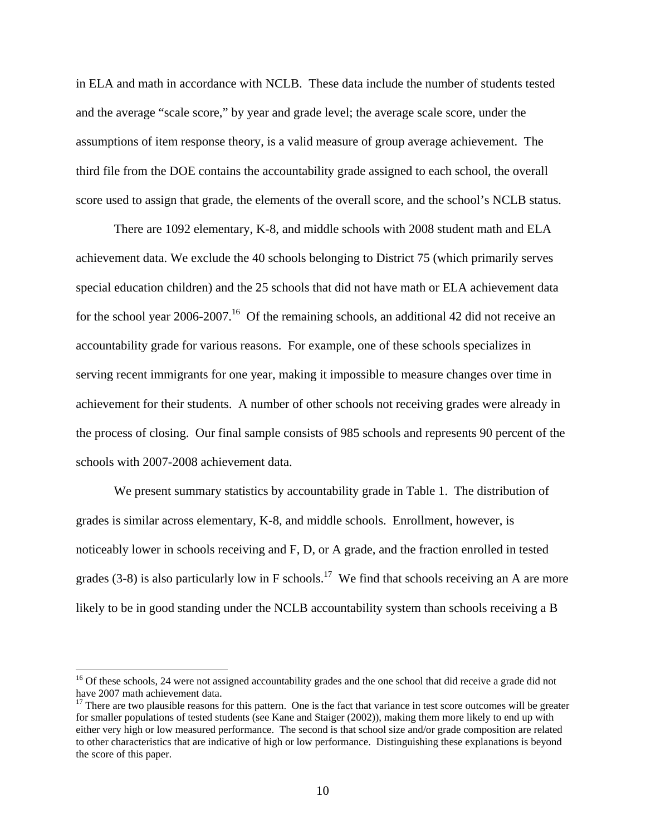in ELA and math in accordance with NCLB. These data include the number of students tested and the average "scale score," by year and grade level; the average scale score, under the assumptions of item response theory, is a valid measure of group average achievement. The third file from the DOE contains the accountability grade assigned to each school, the overall score used to assign that grade, the elements of the overall score, and the school's NCLB status.

There are 1092 elementary, K-8, and middle schools with 2008 student math and ELA achievement data. We exclude the 40 schools belonging to District 75 (which primarily serves special education children) and the 25 schools that did not have math or ELA achievement data for the school year 2006-2007.<sup>16</sup> Of the remaining schools, an additional 42 did not receive an accountability grade for various reasons. For example, one of these schools specializes in serving recent immigrants for one year, making it impossible to measure changes over time in achievement for their students. A number of other schools not receiving grades were already in the process of closing. Our final sample consists of 985 schools and represents 90 percent of the schools with 2007-2008 achievement data.

 We present summary statistics by accountability grade in Table 1. The distribution of grades is similar across elementary, K-8, and middle schools. Enrollment, however, is noticeably lower in schools receiving and F, D, or A grade, and the fraction enrolled in tested grades (3-8) is also particularly low in F schools.<sup>17</sup> We find that schools receiving an A are more likely to be in good standing under the NCLB accountability system than schools receiving a B

<sup>&</sup>lt;sup>16</sup> Of these schools, 24 were not assigned accountability grades and the one school that did receive a grade did not have 2007 math achievement data.

 $17$  There are two plausible reasons for this pattern. One is the fact that variance in test score outcomes will be greater for smaller populations of tested students (see Kane and Staiger (2002)), making them more likely to end up with either very high or low measured performance. The second is that school size and/or grade composition are related to other characteristics that are indicative of high or low performance. Distinguishing these explanations is beyond the score of this paper.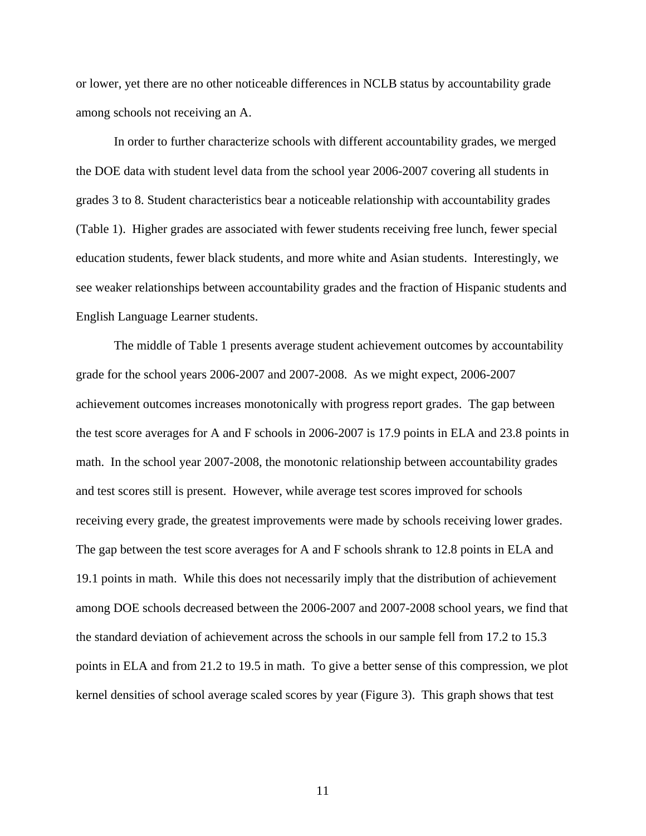or lower, yet there are no other noticeable differences in NCLB status by accountability grade among schools not receiving an A.

 In order to further characterize schools with different accountability grades, we merged the DOE data with student level data from the school year 2006-2007 covering all students in grades 3 to 8. Student characteristics bear a noticeable relationship with accountability grades (Table 1). Higher grades are associated with fewer students receiving free lunch, fewer special education students, fewer black students, and more white and Asian students. Interestingly, we see weaker relationships between accountability grades and the fraction of Hispanic students and English Language Learner students.

 The middle of Table 1 presents average student achievement outcomes by accountability grade for the school years 2006-2007 and 2007-2008. As we might expect, 2006-2007 achievement outcomes increases monotonically with progress report grades. The gap between the test score averages for A and F schools in 2006-2007 is 17.9 points in ELA and 23.8 points in math. In the school year 2007-2008, the monotonic relationship between accountability grades and test scores still is present. However, while average test scores improved for schools receiving every grade, the greatest improvements were made by schools receiving lower grades. The gap between the test score averages for A and F schools shrank to 12.8 points in ELA and 19.1 points in math. While this does not necessarily imply that the distribution of achievement among DOE schools decreased between the 2006-2007 and 2007-2008 school years, we find that the standard deviation of achievement across the schools in our sample fell from 17.2 to 15.3 points in ELA and from 21.2 to 19.5 in math. To give a better sense of this compression, we plot kernel densities of school average scaled scores by year (Figure 3). This graph shows that test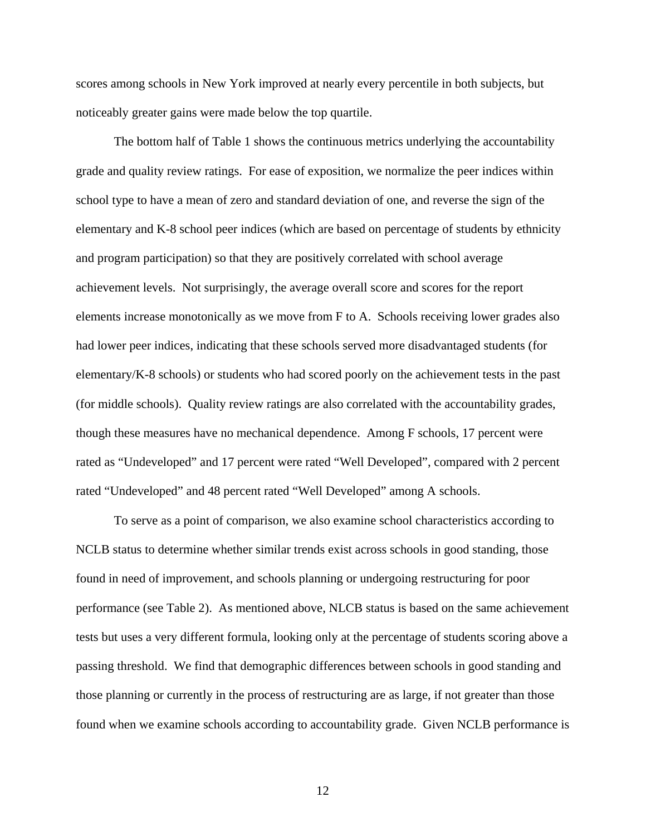scores among schools in New York improved at nearly every percentile in both subjects, but noticeably greater gains were made below the top quartile.

 The bottom half of Table 1 shows the continuous metrics underlying the accountability grade and quality review ratings. For ease of exposition, we normalize the peer indices within school type to have a mean of zero and standard deviation of one, and reverse the sign of the elementary and K-8 school peer indices (which are based on percentage of students by ethnicity and program participation) so that they are positively correlated with school average achievement levels. Not surprisingly, the average overall score and scores for the report elements increase monotonically as we move from F to A. Schools receiving lower grades also had lower peer indices, indicating that these schools served more disadvantaged students (for elementary/K-8 schools) or students who had scored poorly on the achievement tests in the past (for middle schools). Quality review ratings are also correlated with the accountability grades, though these measures have no mechanical dependence. Among F schools, 17 percent were rated as "Undeveloped" and 17 percent were rated "Well Developed", compared with 2 percent rated "Undeveloped" and 48 percent rated "Well Developed" among A schools.

 To serve as a point of comparison, we also examine school characteristics according to NCLB status to determine whether similar trends exist across schools in good standing, those found in need of improvement, and schools planning or undergoing restructuring for poor performance (see Table 2). As mentioned above, NLCB status is based on the same achievement tests but uses a very different formula, looking only at the percentage of students scoring above a passing threshold. We find that demographic differences between schools in good standing and those planning or currently in the process of restructuring are as large, if not greater than those found when we examine schools according to accountability grade. Given NCLB performance is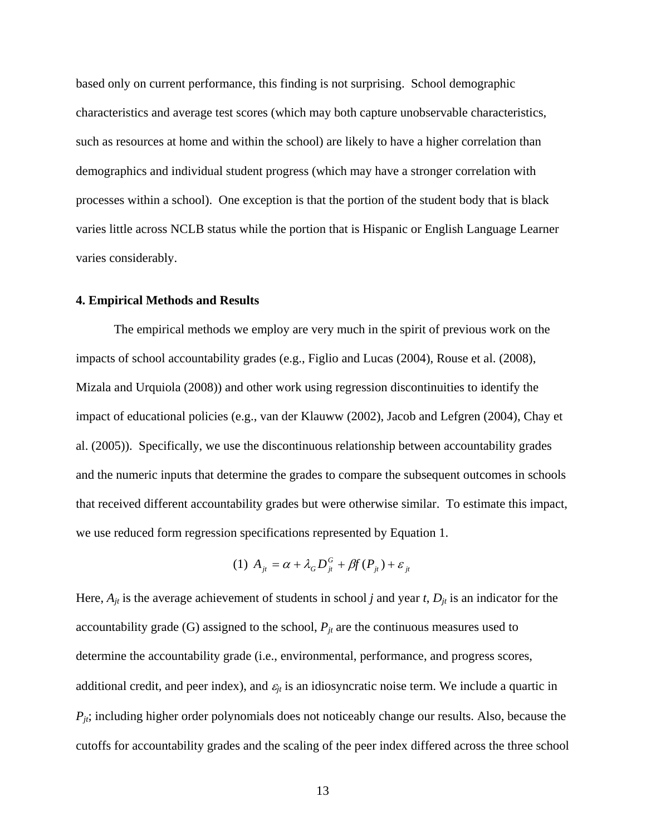based only on current performance, this finding is not surprising. School demographic characteristics and average test scores (which may both capture unobservable characteristics, such as resources at home and within the school) are likely to have a higher correlation than demographics and individual student progress (which may have a stronger correlation with processes within a school). One exception is that the portion of the student body that is black varies little across NCLB status while the portion that is Hispanic or English Language Learner varies considerably.

#### **4. Empirical Methods and Results**

 The empirical methods we employ are very much in the spirit of previous work on the impacts of school accountability grades (e.g., Figlio and Lucas (2004), Rouse et al. (2008), Mizala and Urquiola (2008)) and other work using regression discontinuities to identify the impact of educational policies (e.g., van der Klauww (2002), Jacob and Lefgren (2004), Chay et al. (2005)). Specifically, we use the discontinuous relationship between accountability grades and the numeric inputs that determine the grades to compare the subsequent outcomes in schools that received different accountability grades but were otherwise similar. To estimate this impact, we use reduced form regression specifications represented by Equation 1.

(1) 
$$
A_{jt} = \alpha + \lambda_G D_{jt}^G + \beta f(P_{jt}) + \varepsilon_{jt}
$$

Here,  $A_{jt}$  is the average achievement of students in school *j* and year *t*,  $D_{jt}$  is an indicator for the accountability grade (G) assigned to the school,  $P_{it}$  are the continuous measures used to determine the accountability grade (i.e., environmental, performance, and progress scores, additional credit, and peer index), and  $\varepsilon_{it}$  is an idiosyncratic noise term. We include a quartic in  $P_{it}$ ; including higher order polynomials does not noticeably change our results. Also, because the cutoffs for accountability grades and the scaling of the peer index differed across the three school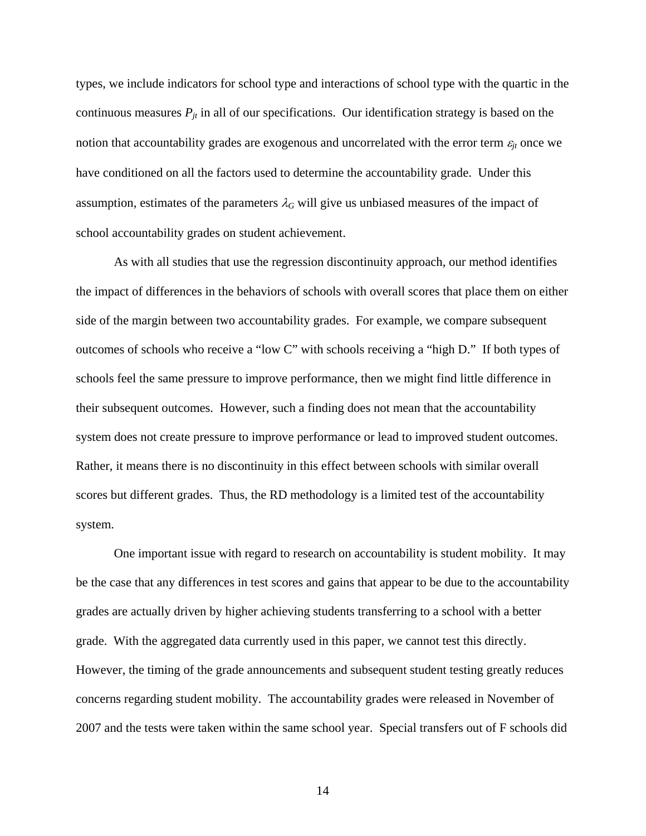types, we include indicators for school type and interactions of school type with the quartic in the continuous measures  $P_{jt}$  in all of our specifications. Our identification strategy is based on the notion that accountability grades are exogenous and uncorrelated with the error term  $\varepsilon_{jt}$  once we have conditioned on all the factors used to determine the accountability grade. Under this assumption, estimates of the parameters  $\lambda_G$  will give us unbiased measures of the impact of school accountability grades on student achievement.

 As with all studies that use the regression discontinuity approach, our method identifies the impact of differences in the behaviors of schools with overall scores that place them on either side of the margin between two accountability grades. For example, we compare subsequent outcomes of schools who receive a "low C" with schools receiving a "high D." If both types of schools feel the same pressure to improve performance, then we might find little difference in their subsequent outcomes. However, such a finding does not mean that the accountability system does not create pressure to improve performance or lead to improved student outcomes. Rather, it means there is no discontinuity in this effect between schools with similar overall scores but different grades. Thus, the RD methodology is a limited test of the accountability system.

 One important issue with regard to research on accountability is student mobility. It may be the case that any differences in test scores and gains that appear to be due to the accountability grades are actually driven by higher achieving students transferring to a school with a better grade. With the aggregated data currently used in this paper, we cannot test this directly. However, the timing of the grade announcements and subsequent student testing greatly reduces concerns regarding student mobility. The accountability grades were released in November of 2007 and the tests were taken within the same school year. Special transfers out of F schools did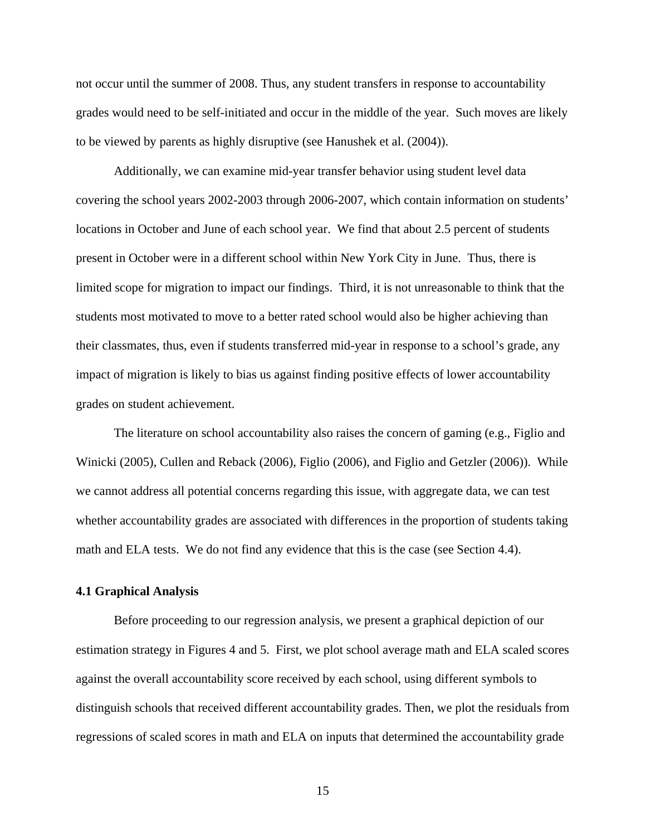not occur until the summer of 2008. Thus, any student transfers in response to accountability grades would need to be self-initiated and occur in the middle of the year. Such moves are likely to be viewed by parents as highly disruptive (see Hanushek et al. (2004)).

 Additionally, we can examine mid-year transfer behavior using student level data covering the school years 2002-2003 through 2006-2007, which contain information on students' locations in October and June of each school year. We find that about 2.5 percent of students present in October were in a different school within New York City in June. Thus, there is limited scope for migration to impact our findings. Third, it is not unreasonable to think that the students most motivated to move to a better rated school would also be higher achieving than their classmates, thus, even if students transferred mid-year in response to a school's grade, any impact of migration is likely to bias us against finding positive effects of lower accountability grades on student achievement.

 The literature on school accountability also raises the concern of gaming (e.g., Figlio and Winicki (2005), Cullen and Reback (2006), Figlio (2006), and Figlio and Getzler (2006)). While we cannot address all potential concerns regarding this issue, with aggregate data, we can test whether accountability grades are associated with differences in the proportion of students taking math and ELA tests. We do not find any evidence that this is the case (see Section 4.4).

#### **4.1 Graphical Analysis**

 Before proceeding to our regression analysis, we present a graphical depiction of our estimation strategy in Figures 4 and 5. First, we plot school average math and ELA scaled scores against the overall accountability score received by each school, using different symbols to distinguish schools that received different accountability grades. Then, we plot the residuals from regressions of scaled scores in math and ELA on inputs that determined the accountability grade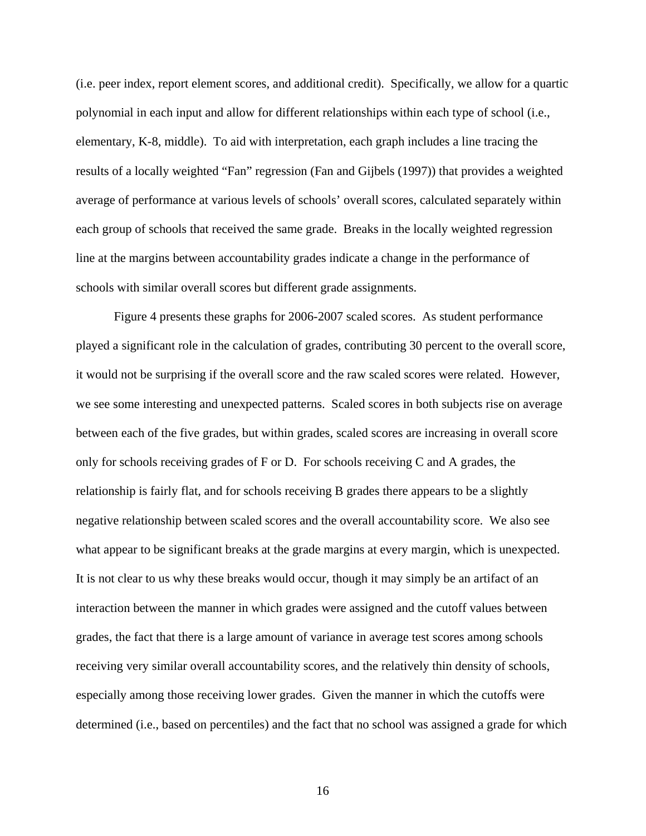(i.e. peer index, report element scores, and additional credit). Specifically, we allow for a quartic polynomial in each input and allow for different relationships within each type of school (i.e., elementary, K-8, middle). To aid with interpretation, each graph includes a line tracing the results of a locally weighted "Fan" regression (Fan and Gijbels (1997)) that provides a weighted average of performance at various levels of schools' overall scores, calculated separately within each group of schools that received the same grade. Breaks in the locally weighted regression line at the margins between accountability grades indicate a change in the performance of schools with similar overall scores but different grade assignments.

 Figure 4 presents these graphs for 2006-2007 scaled scores. As student performance played a significant role in the calculation of grades, contributing 30 percent to the overall score, it would not be surprising if the overall score and the raw scaled scores were related. However, we see some interesting and unexpected patterns. Scaled scores in both subjects rise on average between each of the five grades, but within grades, scaled scores are increasing in overall score only for schools receiving grades of F or D. For schools receiving C and A grades, the relationship is fairly flat, and for schools receiving B grades there appears to be a slightly negative relationship between scaled scores and the overall accountability score. We also see what appear to be significant breaks at the grade margins at every margin, which is unexpected. It is not clear to us why these breaks would occur, though it may simply be an artifact of an interaction between the manner in which grades were assigned and the cutoff values between grades, the fact that there is a large amount of variance in average test scores among schools receiving very similar overall accountability scores, and the relatively thin density of schools, especially among those receiving lower grades. Given the manner in which the cutoffs were determined (i.e., based on percentiles) and the fact that no school was assigned a grade for which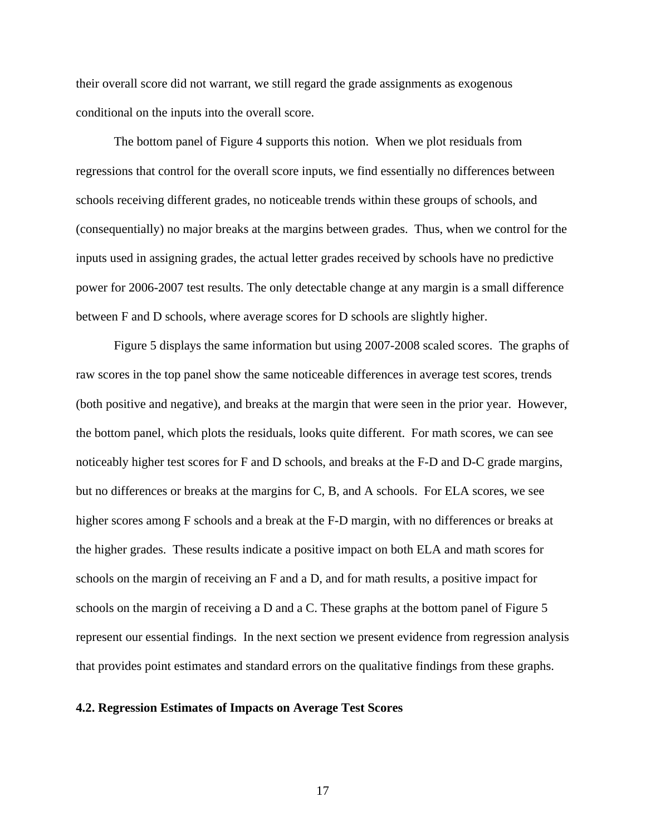their overall score did not warrant, we still regard the grade assignments as exogenous conditional on the inputs into the overall score.

 The bottom panel of Figure 4 supports this notion. When we plot residuals from regressions that control for the overall score inputs, we find essentially no differences between schools receiving different grades, no noticeable trends within these groups of schools, and (consequentially) no major breaks at the margins between grades. Thus, when we control for the inputs used in assigning grades, the actual letter grades received by schools have no predictive power for 2006-2007 test results. The only detectable change at any margin is a small difference between F and D schools, where average scores for D schools are slightly higher.

 Figure 5 displays the same information but using 2007-2008 scaled scores. The graphs of raw scores in the top panel show the same noticeable differences in average test scores, trends (both positive and negative), and breaks at the margin that were seen in the prior year. However, the bottom panel, which plots the residuals, looks quite different. For math scores, we can see noticeably higher test scores for F and D schools, and breaks at the F-D and D-C grade margins, but no differences or breaks at the margins for C, B, and A schools. For ELA scores, we see higher scores among F schools and a break at the F-D margin, with no differences or breaks at the higher grades. These results indicate a positive impact on both ELA and math scores for schools on the margin of receiving an F and a D, and for math results, a positive impact for schools on the margin of receiving a D and a C. These graphs at the bottom panel of Figure 5 represent our essential findings. In the next section we present evidence from regression analysis that provides point estimates and standard errors on the qualitative findings from these graphs.

#### **4.2. Regression Estimates of Impacts on Average Test Scores**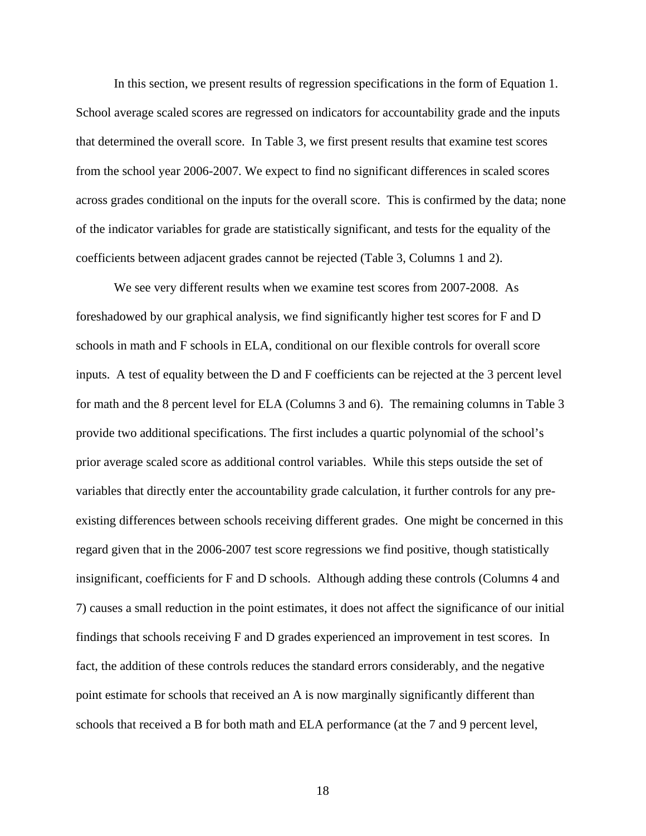In this section, we present results of regression specifications in the form of Equation 1. School average scaled scores are regressed on indicators for accountability grade and the inputs that determined the overall score. In Table 3, we first present results that examine test scores from the school year 2006-2007. We expect to find no significant differences in scaled scores across grades conditional on the inputs for the overall score. This is confirmed by the data; none of the indicator variables for grade are statistically significant, and tests for the equality of the coefficients between adjacent grades cannot be rejected (Table 3, Columns 1 and 2).

 We see very different results when we examine test scores from 2007-2008. As foreshadowed by our graphical analysis, we find significantly higher test scores for F and D schools in math and F schools in ELA, conditional on our flexible controls for overall score inputs. A test of equality between the D and F coefficients can be rejected at the 3 percent level for math and the 8 percent level for ELA (Columns 3 and 6). The remaining columns in Table 3 provide two additional specifications. The first includes a quartic polynomial of the school's prior average scaled score as additional control variables. While this steps outside the set of variables that directly enter the accountability grade calculation, it further controls for any preexisting differences between schools receiving different grades. One might be concerned in this regard given that in the 2006-2007 test score regressions we find positive, though statistically insignificant, coefficients for F and D schools. Although adding these controls (Columns 4 and 7) causes a small reduction in the point estimates, it does not affect the significance of our initial findings that schools receiving F and D grades experienced an improvement in test scores. In fact, the addition of these controls reduces the standard errors considerably, and the negative point estimate for schools that received an A is now marginally significantly different than schools that received a B for both math and ELA performance (at the 7 and 9 percent level,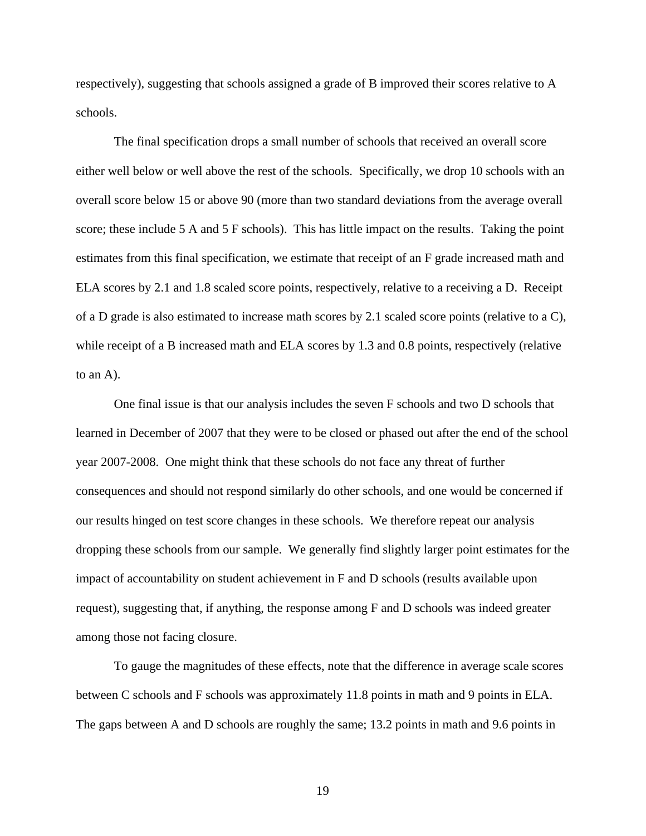respectively), suggesting that schools assigned a grade of B improved their scores relative to A schools.

 The final specification drops a small number of schools that received an overall score either well below or well above the rest of the schools. Specifically, we drop 10 schools with an overall score below 15 or above 90 (more than two standard deviations from the average overall score; these include 5 A and 5 F schools). This has little impact on the results. Taking the point estimates from this final specification, we estimate that receipt of an F grade increased math and ELA scores by 2.1 and 1.8 scaled score points, respectively, relative to a receiving a D. Receipt of a D grade is also estimated to increase math scores by 2.1 scaled score points (relative to a  $\mathbb{C}$ ), while receipt of a B increased math and ELA scores by 1.3 and 0.8 points, respectively (relative to an A).

 One final issue is that our analysis includes the seven F schools and two D schools that learned in December of 2007 that they were to be closed or phased out after the end of the school year 2007-2008. One might think that these schools do not face any threat of further consequences and should not respond similarly do other schools, and one would be concerned if our results hinged on test score changes in these schools. We therefore repeat our analysis dropping these schools from our sample. We generally find slightly larger point estimates for the impact of accountability on student achievement in F and D schools (results available upon request), suggesting that, if anything, the response among F and D schools was indeed greater among those not facing closure.

 To gauge the magnitudes of these effects, note that the difference in average scale scores between C schools and F schools was approximately 11.8 points in math and 9 points in ELA. The gaps between A and D schools are roughly the same; 13.2 points in math and 9.6 points in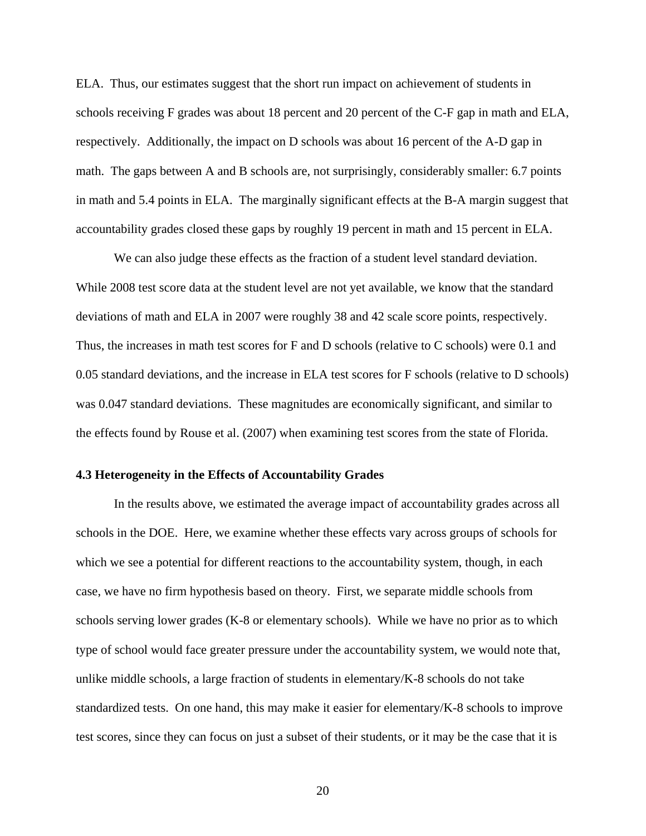ELA. Thus, our estimates suggest that the short run impact on achievement of students in schools receiving F grades was about 18 percent and 20 percent of the C-F gap in math and ELA, respectively. Additionally, the impact on D schools was about 16 percent of the A-D gap in math. The gaps between A and B schools are, not surprisingly, considerably smaller: 6.7 points in math and 5.4 points in ELA. The marginally significant effects at the B-A margin suggest that accountability grades closed these gaps by roughly 19 percent in math and 15 percent in ELA.

We can also judge these effects as the fraction of a student level standard deviation. While 2008 test score data at the student level are not yet available, we know that the standard deviations of math and ELA in 2007 were roughly 38 and 42 scale score points, respectively. Thus, the increases in math test scores for F and D schools (relative to C schools) were 0.1 and 0.05 standard deviations, and the increase in ELA test scores for F schools (relative to D schools) was 0.047 standard deviations. These magnitudes are economically significant, and similar to the effects found by Rouse et al. (2007) when examining test scores from the state of Florida.

#### **4.3 Heterogeneity in the Effects of Accountability Grades**

 In the results above, we estimated the average impact of accountability grades across all schools in the DOE. Here, we examine whether these effects vary across groups of schools for which we see a potential for different reactions to the accountability system, though, in each case, we have no firm hypothesis based on theory. First, we separate middle schools from schools serving lower grades (K-8 or elementary schools). While we have no prior as to which type of school would face greater pressure under the accountability system, we would note that, unlike middle schools, a large fraction of students in elementary/K-8 schools do not take standardized tests. On one hand, this may make it easier for elementary/K-8 schools to improve test scores, since they can focus on just a subset of their students, or it may be the case that it is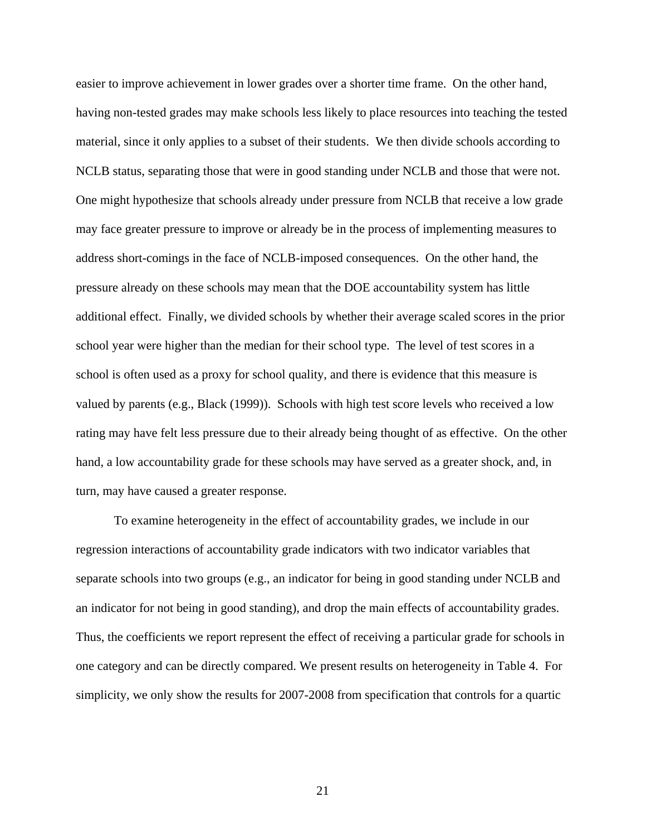easier to improve achievement in lower grades over a shorter time frame. On the other hand, having non-tested grades may make schools less likely to place resources into teaching the tested material, since it only applies to a subset of their students. We then divide schools according to NCLB status, separating those that were in good standing under NCLB and those that were not. One might hypothesize that schools already under pressure from NCLB that receive a low grade may face greater pressure to improve or already be in the process of implementing measures to address short-comings in the face of NCLB-imposed consequences. On the other hand, the pressure already on these schools may mean that the DOE accountability system has little additional effect. Finally, we divided schools by whether their average scaled scores in the prior school year were higher than the median for their school type. The level of test scores in a school is often used as a proxy for school quality, and there is evidence that this measure is valued by parents (e.g., Black (1999)). Schools with high test score levels who received a low rating may have felt less pressure due to their already being thought of as effective. On the other hand, a low accountability grade for these schools may have served as a greater shock, and, in turn, may have caused a greater response.

 To examine heterogeneity in the effect of accountability grades, we include in our regression interactions of accountability grade indicators with two indicator variables that separate schools into two groups (e.g., an indicator for being in good standing under NCLB and an indicator for not being in good standing), and drop the main effects of accountability grades. Thus, the coefficients we report represent the effect of receiving a particular grade for schools in one category and can be directly compared. We present results on heterogeneity in Table 4. For simplicity, we only show the results for 2007-2008 from specification that controls for a quartic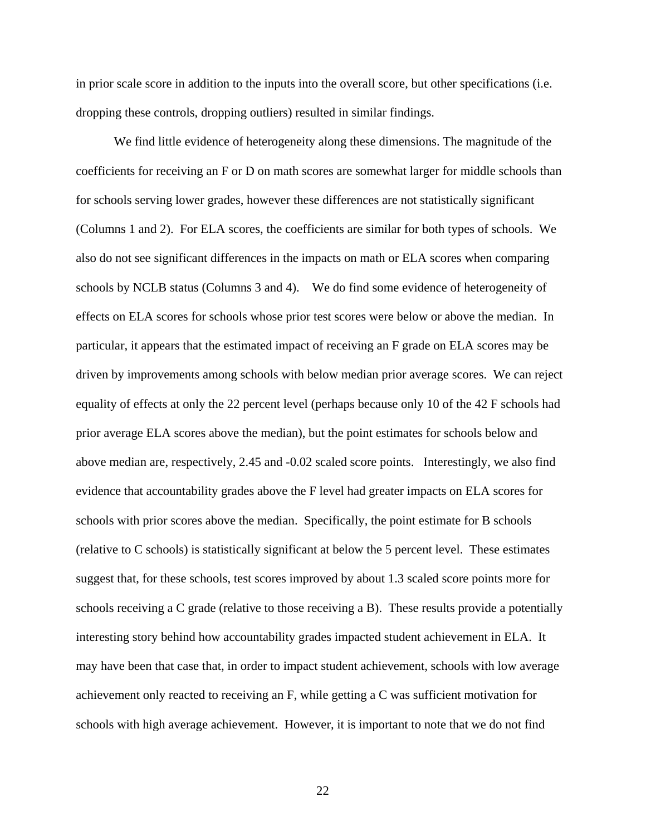in prior scale score in addition to the inputs into the overall score, but other specifications (i.e. dropping these controls, dropping outliers) resulted in similar findings.

 We find little evidence of heterogeneity along these dimensions. The magnitude of the coefficients for receiving an F or D on math scores are somewhat larger for middle schools than for schools serving lower grades, however these differences are not statistically significant (Columns 1 and 2). For ELA scores, the coefficients are similar for both types of schools. We also do not see significant differences in the impacts on math or ELA scores when comparing schools by NCLB status (Columns 3 and 4). We do find some evidence of heterogeneity of effects on ELA scores for schools whose prior test scores were below or above the median. In particular, it appears that the estimated impact of receiving an F grade on ELA scores may be driven by improvements among schools with below median prior average scores. We can reject equality of effects at only the 22 percent level (perhaps because only 10 of the 42 F schools had prior average ELA scores above the median), but the point estimates for schools below and above median are, respectively, 2.45 and -0.02 scaled score points. Interestingly, we also find evidence that accountability grades above the F level had greater impacts on ELA scores for schools with prior scores above the median. Specifically, the point estimate for B schools (relative to C schools) is statistically significant at below the 5 percent level. These estimates suggest that, for these schools, test scores improved by about 1.3 scaled score points more for schools receiving a C grade (relative to those receiving a B). These results provide a potentially interesting story behind how accountability grades impacted student achievement in ELA. It may have been that case that, in order to impact student achievement, schools with low average achievement only reacted to receiving an F, while getting a C was sufficient motivation for schools with high average achievement. However, it is important to note that we do not find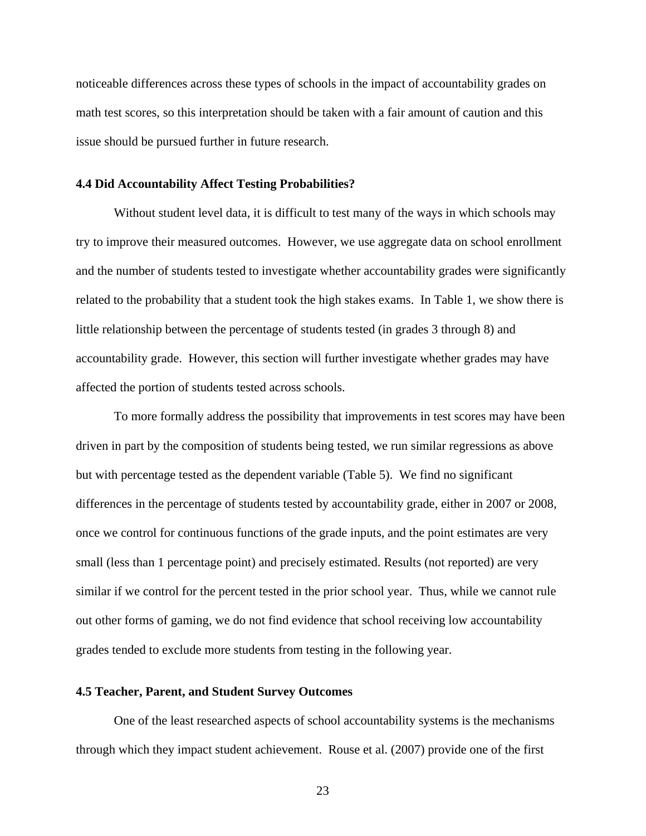noticeable differences across these types of schools in the impact of accountability grades on math test scores, so this interpretation should be taken with a fair amount of caution and this issue should be pursued further in future research.

#### **4.4 Did Accountability Affect Testing Probabilities?**

Without student level data, it is difficult to test many of the ways in which schools may try to improve their measured outcomes. However, we use aggregate data on school enrollment and the number of students tested to investigate whether accountability grades were significantly related to the probability that a student took the high stakes exams. In Table 1, we show there is little relationship between the percentage of students tested (in grades 3 through 8) and accountability grade. However, this section will further investigate whether grades may have affected the portion of students tested across schools.

 To more formally address the possibility that improvements in test scores may have been driven in part by the composition of students being tested, we run similar regressions as above but with percentage tested as the dependent variable (Table 5). We find no significant differences in the percentage of students tested by accountability grade, either in 2007 or 2008, once we control for continuous functions of the grade inputs, and the point estimates are very small (less than 1 percentage point) and precisely estimated. Results (not reported) are very similar if we control for the percent tested in the prior school year. Thus, while we cannot rule out other forms of gaming, we do not find evidence that school receiving low accountability grades tended to exclude more students from testing in the following year.

#### **4.5 Teacher, Parent, and Student Survey Outcomes**

 One of the least researched aspects of school accountability systems is the mechanisms through which they impact student achievement. Rouse et al. (2007) provide one of the first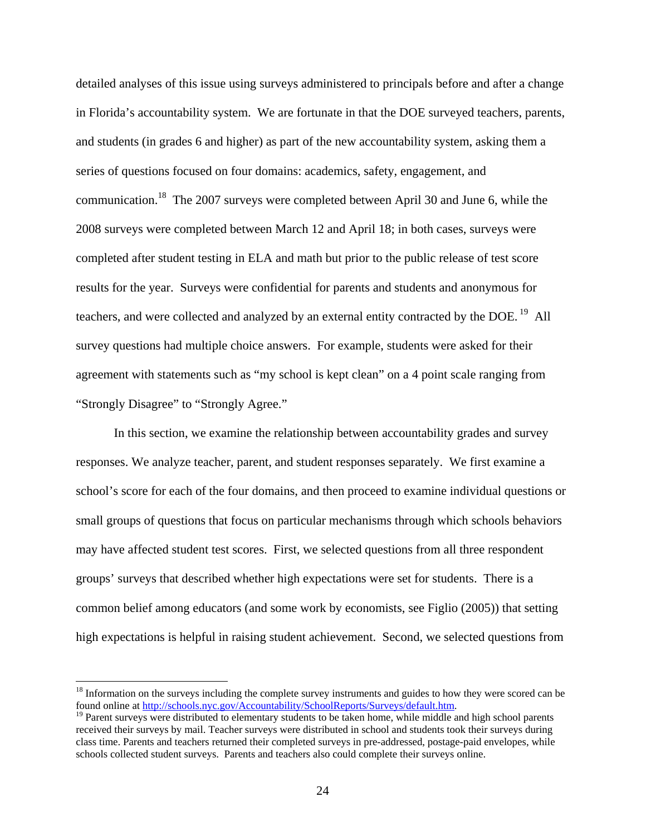detailed analyses of this issue using surveys administered to principals before and after a change in Florida's accountability system. We are fortunate in that the DOE surveyed teachers, parents, and students (in grades 6 and higher) as part of the new accountability system, asking them a series of questions focused on four domains: academics, safety, engagement, and communication.<sup>18</sup> The 2007 surveys were completed between April 30 and June 6, while the 2008 surveys were completed between March 12 and April 18; in both cases, surveys were completed after student testing in ELA and math but prior to the public release of test score results for the year. Surveys were confidential for parents and students and anonymous for teachers, and were collected and analyzed by an external entity contracted by the DOE.<sup>19</sup> All survey questions had multiple choice answers. For example, students were asked for their agreement with statements such as "my school is kept clean" on a 4 point scale ranging from "Strongly Disagree" to "Strongly Agree."

 In this section, we examine the relationship between accountability grades and survey responses. We analyze teacher, parent, and student responses separately. We first examine a school's score for each of the four domains, and then proceed to examine individual questions or small groups of questions that focus on particular mechanisms through which schools behaviors may have affected student test scores. First, we selected questions from all three respondent groups' surveys that described whether high expectations were set for students. There is a common belief among educators (and some work by economists, see Figlio (2005)) that setting high expectations is helpful in raising student achievement. Second, we selected questions from

<sup>&</sup>lt;sup>18</sup> Information on the surveys including the complete survey instruments and guides to how they were scored can be found online at http://schools.nyc.gov/Accountability/SchoolReports/Surveys/default.htm.<br><sup>19</sup> Parent surveys were distributed to elementary students to be taken home, while middle and high school parents

received their surveys by mail. Teacher surveys were distributed in school and students took their surveys during class time. Parents and teachers returned their completed surveys in pre-addressed, postage-paid envelopes, while schools collected student surveys. Parents and teachers also could complete their surveys online.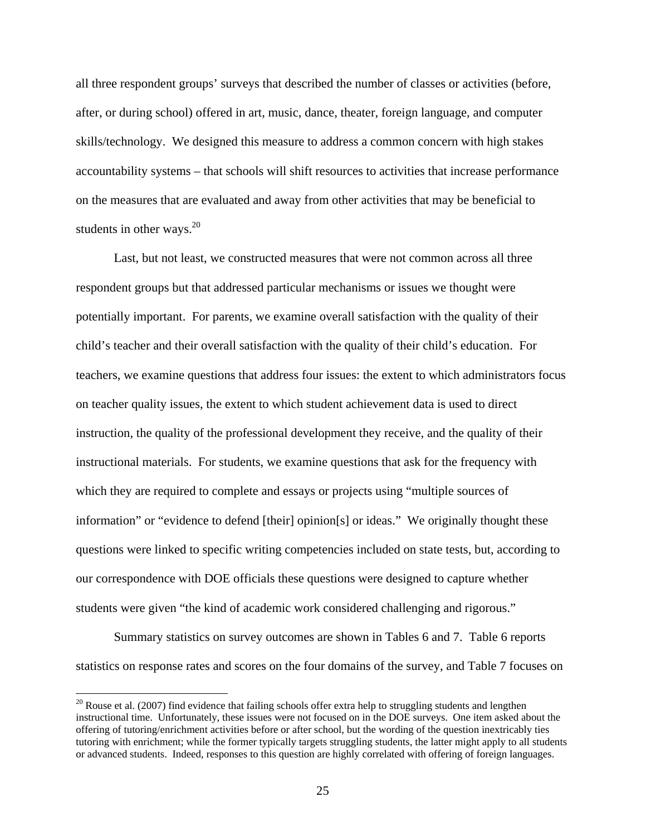all three respondent groups' surveys that described the number of classes or activities (before, after, or during school) offered in art, music, dance, theater, foreign language, and computer skills/technology. We designed this measure to address a common concern with high stakes accountability systems – that schools will shift resources to activities that increase performance on the measures that are evaluated and away from other activities that may be beneficial to students in other ways. $2^{20}$ 

 Last, but not least, we constructed measures that were not common across all three respondent groups but that addressed particular mechanisms or issues we thought were potentially important. For parents, we examine overall satisfaction with the quality of their child's teacher and their overall satisfaction with the quality of their child's education. For teachers, we examine questions that address four issues: the extent to which administrators focus on teacher quality issues, the extent to which student achievement data is used to direct instruction, the quality of the professional development they receive, and the quality of their instructional materials. For students, we examine questions that ask for the frequency with which they are required to complete and essays or projects using "multiple sources of information" or "evidence to defend [their] opinion[s] or ideas." We originally thought these questions were linked to specific writing competencies included on state tests, but, according to our correspondence with DOE officials these questions were designed to capture whether students were given "the kind of academic work considered challenging and rigorous."

 Summary statistics on survey outcomes are shown in Tables 6 and 7. Table 6 reports statistics on response rates and scores on the four domains of the survey, and Table 7 focuses on

 $20$  Rouse et al. (2007) find evidence that failing schools offer extra help to struggling students and lengthen instructional time. Unfortunately, these issues were not focused on in the DOE surveys. One item asked about the offering of tutoring/enrichment activities before or after school, but the wording of the question inextricably ties tutoring with enrichment; while the former typically targets struggling students, the latter might apply to all students or advanced students. Indeed, responses to this question are highly correlated with offering of foreign languages.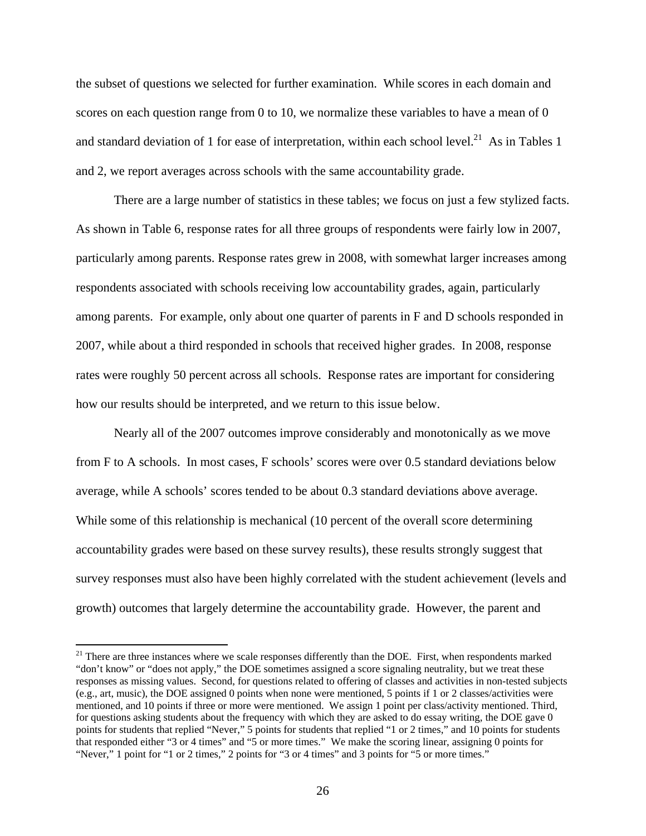the subset of questions we selected for further examination. While scores in each domain and scores on each question range from 0 to 10, we normalize these variables to have a mean of 0 and standard deviation of 1 for ease of interpretation, within each school level.<sup>21</sup> As in Tables 1 and 2, we report averages across schools with the same accountability grade.

 There are a large number of statistics in these tables; we focus on just a few stylized facts. As shown in Table 6, response rates for all three groups of respondents were fairly low in 2007, particularly among parents. Response rates grew in 2008, with somewhat larger increases among respondents associated with schools receiving low accountability grades, again, particularly among parents. For example, only about one quarter of parents in F and D schools responded in 2007, while about a third responded in schools that received higher grades. In 2008, response rates were roughly 50 percent across all schools. Response rates are important for considering how our results should be interpreted, and we return to this issue below.

 Nearly all of the 2007 outcomes improve considerably and monotonically as we move from F to A schools. In most cases, F schools' scores were over 0.5 standard deviations below average, while A schools' scores tended to be about 0.3 standard deviations above average. While some of this relationship is mechanical (10 percent of the overall score determining accountability grades were based on these survey results), these results strongly suggest that survey responses must also have been highly correlated with the student achievement (levels and growth) outcomes that largely determine the accountability grade. However, the parent and

<sup>&</sup>lt;sup>21</sup> There are three instances where we scale responses differently than the DOE. First, when respondents marked "don't know" or "does not apply," the DOE sometimes assigned a score signaling neutrality, but we treat these responses as missing values. Second, for questions related to offering of classes and activities in non-tested subjects (e.g., art, music), the DOE assigned 0 points when none were mentioned, 5 points if 1 or 2 classes/activities were mentioned, and 10 points if three or more were mentioned. We assign 1 point per class/activity mentioned. Third, for questions asking students about the frequency with which they are asked to do essay writing, the DOE gave 0 points for students that replied "Never," 5 points for students that replied "1 or 2 times," and 10 points for students that responded either "3 or 4 times" and "5 or more times." We make the scoring linear, assigning 0 points for "Never," 1 point for "1 or 2 times," 2 points for "3 or 4 times" and 3 points for "5 or more times."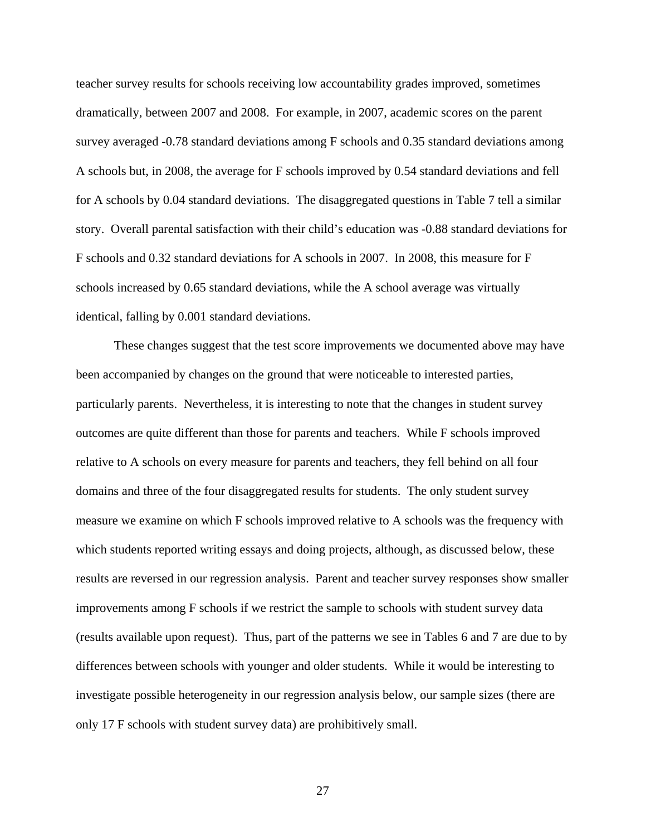teacher survey results for schools receiving low accountability grades improved, sometimes dramatically, between 2007 and 2008. For example, in 2007, academic scores on the parent survey averaged -0.78 standard deviations among F schools and 0.35 standard deviations among A schools but, in 2008, the average for F schools improved by 0.54 standard deviations and fell for A schools by 0.04 standard deviations. The disaggregated questions in Table 7 tell a similar story. Overall parental satisfaction with their child's education was -0.88 standard deviations for F schools and 0.32 standard deviations for A schools in 2007. In 2008, this measure for F schools increased by 0.65 standard deviations, while the A school average was virtually identical, falling by 0.001 standard deviations.

 These changes suggest that the test score improvements we documented above may have been accompanied by changes on the ground that were noticeable to interested parties, particularly parents. Nevertheless, it is interesting to note that the changes in student survey outcomes are quite different than those for parents and teachers. While F schools improved relative to A schools on every measure for parents and teachers, they fell behind on all four domains and three of the four disaggregated results for students. The only student survey measure we examine on which F schools improved relative to A schools was the frequency with which students reported writing essays and doing projects, although, as discussed below, these results are reversed in our regression analysis. Parent and teacher survey responses show smaller improvements among F schools if we restrict the sample to schools with student survey data (results available upon request). Thus, part of the patterns we see in Tables 6 and 7 are due to by differences between schools with younger and older students. While it would be interesting to investigate possible heterogeneity in our regression analysis below, our sample sizes (there are only 17 F schools with student survey data) are prohibitively small.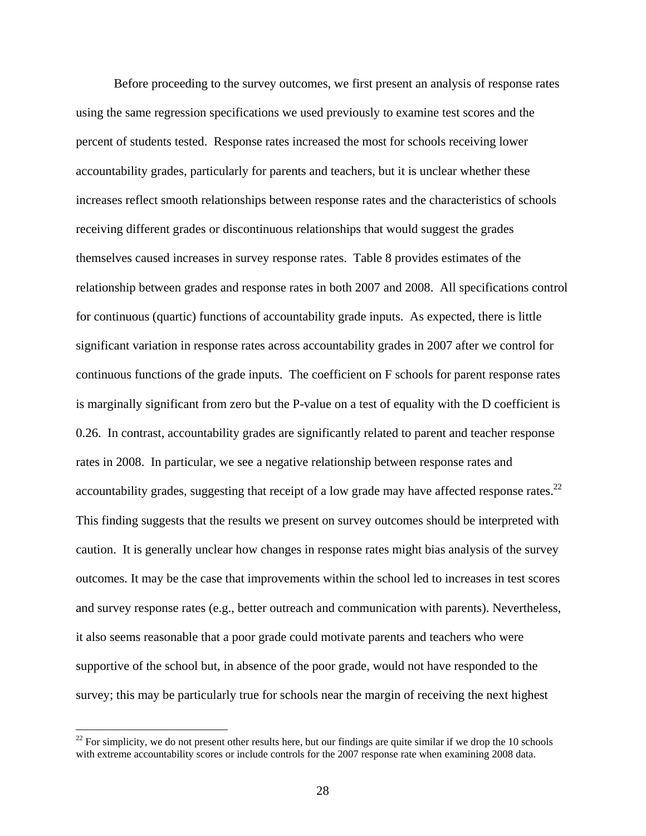Before proceeding to the survey outcomes, we first present an analysis of response rates using the same regression specifications we used previously to examine test scores and the percent of students tested. Response rates increased the most for schools receiving lower accountability grades, particularly for parents and teachers, but it is unclear whether these increases reflect smooth relationships between response rates and the characteristics of schools receiving different grades or discontinuous relationships that would suggest the grades themselves caused increases in survey response rates. Table 8 provides estimates of the relationship between grades and response rates in both 2007 and 2008. All specifications control for continuous (quartic) functions of accountability grade inputs. As expected, there is little significant variation in response rates across accountability grades in 2007 after we control for continuous functions of the grade inputs. The coefficient on F schools for parent response rates is marginally significant from zero but the P-value on a test of equality with the D coefficient is 0.26. In contrast, accountability grades are significantly related to parent and teacher response rates in 2008. In particular, we see a negative relationship between response rates and accountability grades, suggesting that receipt of a low grade may have affected response rates.<sup>22</sup> This finding suggests that the results we present on survey outcomes should be interpreted with caution. It is generally unclear how changes in response rates might bias analysis of the survey outcomes. It may be the case that improvements within the school led to increases in test scores and survey response rates (e.g., better outreach and communication with parents). Nevertheless, it also seems reasonable that a poor grade could motivate parents and teachers who were supportive of the school but, in absence of the poor grade, would not have responded to the survey; this may be particularly true for schools near the margin of receiving the next highest

 $22$  For simplicity, we do not present other results here, but our findings are quite similar if we drop the 10 schools with extreme accountability scores or include controls for the 2007 response rate when examining 2008 data.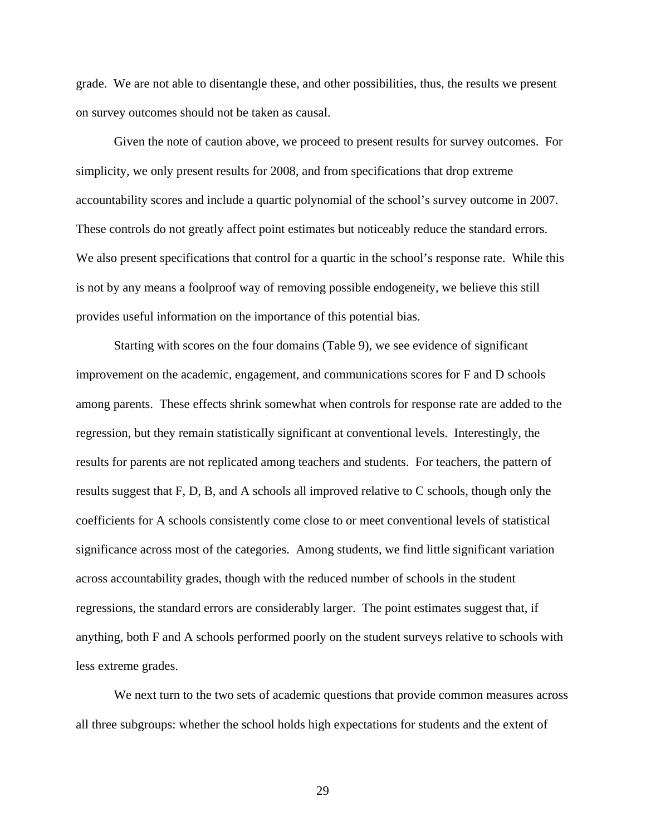grade. We are not able to disentangle these, and other possibilities, thus, the results we present on survey outcomes should not be taken as causal.

 Given the note of caution above, we proceed to present results for survey outcomes. For simplicity, we only present results for 2008, and from specifications that drop extreme accountability scores and include a quartic polynomial of the school's survey outcome in 2007. These controls do not greatly affect point estimates but noticeably reduce the standard errors. We also present specifications that control for a quartic in the school's response rate. While this is not by any means a foolproof way of removing possible endogeneity, we believe this still provides useful information on the importance of this potential bias.

 Starting with scores on the four domains (Table 9), we see evidence of significant improvement on the academic, engagement, and communications scores for F and D schools among parents. These effects shrink somewhat when controls for response rate are added to the regression, but they remain statistically significant at conventional levels. Interestingly, the results for parents are not replicated among teachers and students. For teachers, the pattern of results suggest that F, D, B, and A schools all improved relative to C schools, though only the coefficients for A schools consistently come close to or meet conventional levels of statistical significance across most of the categories. Among students, we find little significant variation across accountability grades, though with the reduced number of schools in the student regressions, the standard errors are considerably larger. The point estimates suggest that, if anything, both F and A schools performed poorly on the student surveys relative to schools with less extreme grades.

 We next turn to the two sets of academic questions that provide common measures across all three subgroups: whether the school holds high expectations for students and the extent of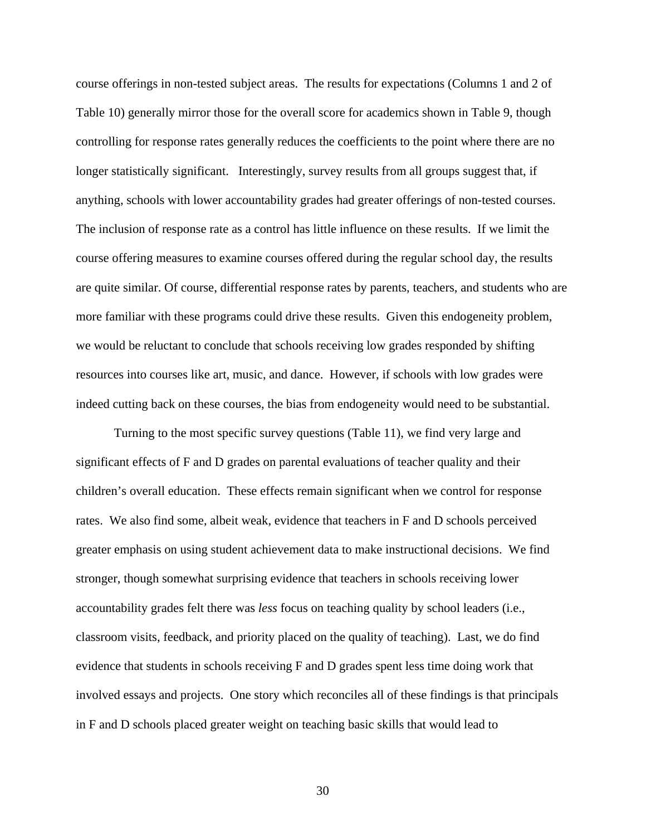course offerings in non-tested subject areas. The results for expectations (Columns 1 and 2 of Table 10) generally mirror those for the overall score for academics shown in Table 9, though controlling for response rates generally reduces the coefficients to the point where there are no longer statistically significant. Interestingly, survey results from all groups suggest that, if anything, schools with lower accountability grades had greater offerings of non-tested courses. The inclusion of response rate as a control has little influence on these results. If we limit the course offering measures to examine courses offered during the regular school day, the results are quite similar. Of course, differential response rates by parents, teachers, and students who are more familiar with these programs could drive these results. Given this endogeneity problem, we would be reluctant to conclude that schools receiving low grades responded by shifting resources into courses like art, music, and dance. However, if schools with low grades were indeed cutting back on these courses, the bias from endogeneity would need to be substantial.

 Turning to the most specific survey questions (Table 11), we find very large and significant effects of F and D grades on parental evaluations of teacher quality and their children's overall education. These effects remain significant when we control for response rates. We also find some, albeit weak, evidence that teachers in F and D schools perceived greater emphasis on using student achievement data to make instructional decisions. We find stronger, though somewhat surprising evidence that teachers in schools receiving lower accountability grades felt there was *less* focus on teaching quality by school leaders (i.e., classroom visits, feedback, and priority placed on the quality of teaching). Last, we do find evidence that students in schools receiving F and D grades spent less time doing work that involved essays and projects. One story which reconciles all of these findings is that principals in F and D schools placed greater weight on teaching basic skills that would lead to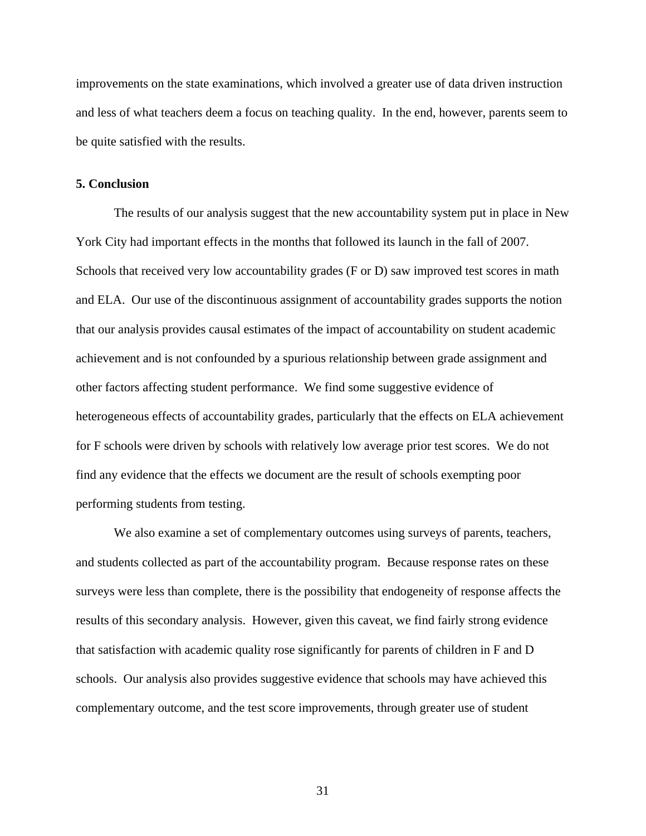improvements on the state examinations, which involved a greater use of data driven instruction and less of what teachers deem a focus on teaching quality. In the end, however, parents seem to be quite satisfied with the results.

#### **5. Conclusion**

The results of our analysis suggest that the new accountability system put in place in New York City had important effects in the months that followed its launch in the fall of 2007. Schools that received very low accountability grades (F or D) saw improved test scores in math and ELA. Our use of the discontinuous assignment of accountability grades supports the notion that our analysis provides causal estimates of the impact of accountability on student academic achievement and is not confounded by a spurious relationship between grade assignment and other factors affecting student performance. We find some suggestive evidence of heterogeneous effects of accountability grades, particularly that the effects on ELA achievement for F schools were driven by schools with relatively low average prior test scores. We do not find any evidence that the effects we document are the result of schools exempting poor performing students from testing.

 We also examine a set of complementary outcomes using surveys of parents, teachers, and students collected as part of the accountability program. Because response rates on these surveys were less than complete, there is the possibility that endogeneity of response affects the results of this secondary analysis. However, given this caveat, we find fairly strong evidence that satisfaction with academic quality rose significantly for parents of children in F and D schools. Our analysis also provides suggestive evidence that schools may have achieved this complementary outcome, and the test score improvements, through greater use of student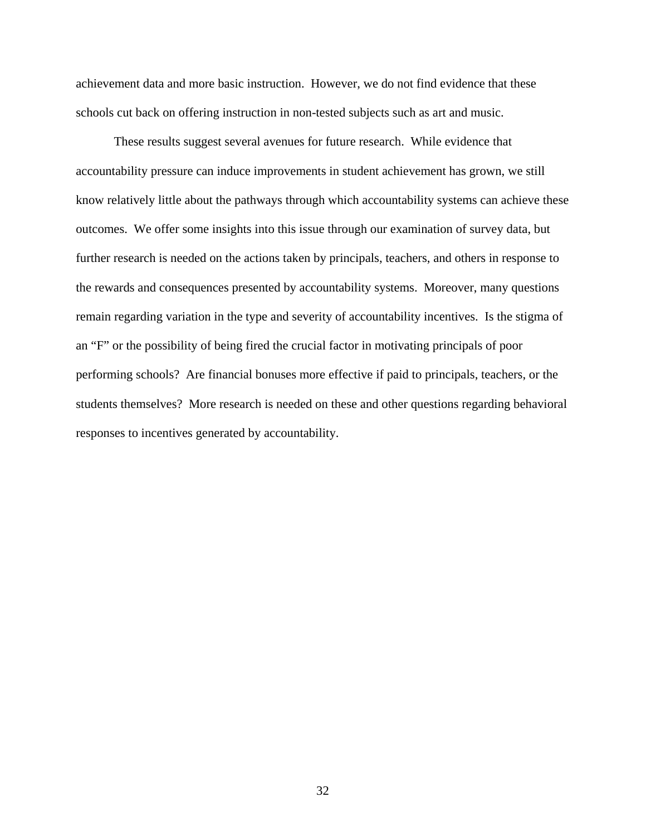achievement data and more basic instruction. However, we do not find evidence that these schools cut back on offering instruction in non-tested subjects such as art and music.

 These results suggest several avenues for future research. While evidence that accountability pressure can induce improvements in student achievement has grown, we still know relatively little about the pathways through which accountability systems can achieve these outcomes. We offer some insights into this issue through our examination of survey data, but further research is needed on the actions taken by principals, teachers, and others in response to the rewards and consequences presented by accountability systems. Moreover, many questions remain regarding variation in the type and severity of accountability incentives. Is the stigma of an "F" or the possibility of being fired the crucial factor in motivating principals of poor performing schools? Are financial bonuses more effective if paid to principals, teachers, or the students themselves? More research is needed on these and other questions regarding behavioral responses to incentives generated by accountability.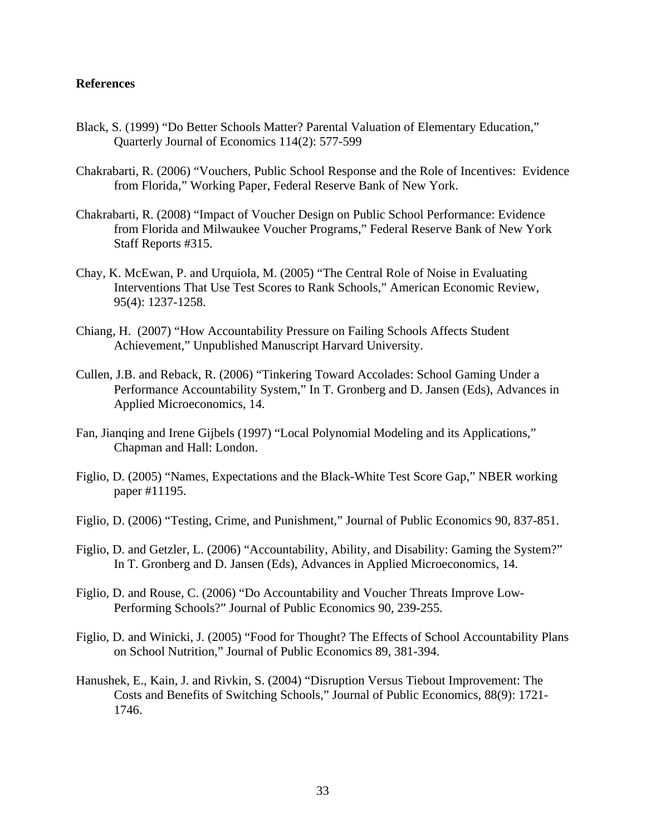#### **References**

- Black, S. (1999) "Do Better Schools Matter? Parental Valuation of Elementary Education," Quarterly Journal of Economics 114(2): 577-599
- Chakrabarti, R. (2006) "Vouchers, Public School Response and the Role of Incentives: Evidence from Florida," Working Paper, Federal Reserve Bank of New York.
- Chakrabarti, R. (2008) "Impact of Voucher Design on Public School Performance: Evidence from Florida and Milwaukee Voucher Programs," Federal Reserve Bank of New York Staff Reports #315.
- Chay, K. McEwan, P. and Urquiola, M. (2005) "The Central Role of Noise in Evaluating Interventions That Use Test Scores to Rank Schools," American Economic Review, 95(4): 1237-1258.
- Chiang, H. (2007) "How Accountability Pressure on Failing Schools Affects Student Achievement," Unpublished Manuscript Harvard University.
- Cullen, J.B. and Reback, R. (2006) "Tinkering Toward Accolades: School Gaming Under a Performance Accountability System," In T. Gronberg and D. Jansen (Eds), Advances in Applied Microeconomics, 14.
- Fan, Jianqing and Irene Gijbels (1997) "Local Polynomial Modeling and its Applications," Chapman and Hall: London.
- Figlio, D. (2005) "Names, Expectations and the Black-White Test Score Gap," NBER working paper #11195.
- Figlio, D. (2006) "Testing, Crime, and Punishment," Journal of Public Economics 90, 837-851.
- Figlio, D. and Getzler, L. (2006) "Accountability, Ability, and Disability: Gaming the System?" In T. Gronberg and D. Jansen (Eds), Advances in Applied Microeconomics, 14.
- Figlio, D. and Rouse, C. (2006) "Do Accountability and Voucher Threats Improve Low-Performing Schools?" Journal of Public Economics 90, 239-255.
- Figlio, D. and Winicki, J. (2005) "Food for Thought? The Effects of School Accountability Plans on School Nutrition," Journal of Public Economics 89, 381-394.
- Hanushek, E., Kain, J. and Rivkin, S. (2004) "Disruption Versus Tiebout Improvement: The Costs and Benefits of Switching Schools," Journal of Public Economics, 88(9): 1721- 1746.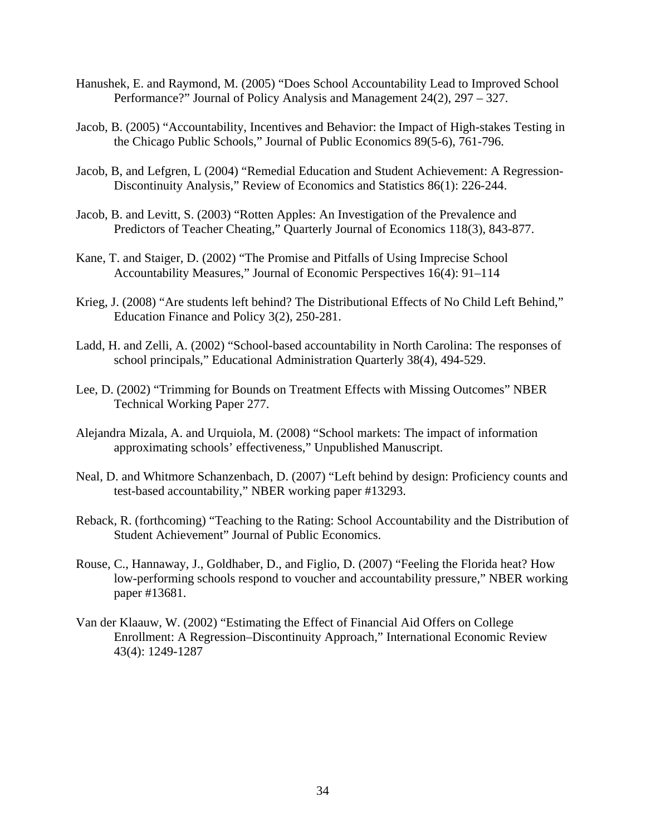- Hanushek, E. and Raymond, M. (2005) "Does School Accountability Lead to Improved School Performance?" Journal of Policy Analysis and Management 24(2), 297 – 327.
- Jacob, B. (2005) "Accountability, Incentives and Behavior: the Impact of High-stakes Testing in the Chicago Public Schools," Journal of Public Economics 89(5-6), 761-796.
- Jacob, B, and Lefgren, L (2004) "Remedial Education and Student Achievement: A Regression-Discontinuity Analysis," Review of Economics and Statistics 86(1): 226-244.
- Jacob, B. and Levitt, S. (2003) "Rotten Apples: An Investigation of the Prevalence and Predictors of Teacher Cheating," Quarterly Journal of Economics 118(3), 843-877.
- Kane, T. and Staiger, D. (2002) "The Promise and Pitfalls of Using Imprecise School Accountability Measures," Journal of Economic Perspectives 16(4): 91–114
- Krieg, J. (2008) "Are students left behind? The Distributional Effects of No Child Left Behind," Education Finance and Policy 3(2), 250-281.
- Ladd, H. and Zelli, A. (2002) "School-based accountability in North Carolina: The responses of school principals," Educational Administration Quarterly 38(4), 494-529.
- Lee, D. (2002) "Trimming for Bounds on Treatment Effects with Missing Outcomes" NBER Technical Working Paper 277.
- Alejandra Mizala, A. and Urquiola, M. (2008) "School markets: The impact of information approximating schools' effectiveness," Unpublished Manuscript.
- Neal, D. and Whitmore Schanzenbach, D. (2007) "Left behind by design: Proficiency counts and test-based accountability," NBER working paper #13293.
- Reback, R. (forthcoming) "Teaching to the Rating: School Accountability and the Distribution of Student Achievement" Journal of Public Economics.
- Rouse, C., Hannaway, J., Goldhaber, D., and Figlio, D. (2007) "Feeling the Florida heat? How low-performing schools respond to voucher and accountability pressure," NBER working paper #13681.
- Van der Klaauw, W. (2002) "Estimating the Effect of Financial Aid Offers on College Enrollment: A Regression–Discontinuity Approach," International Economic Review 43(4): 1249-1287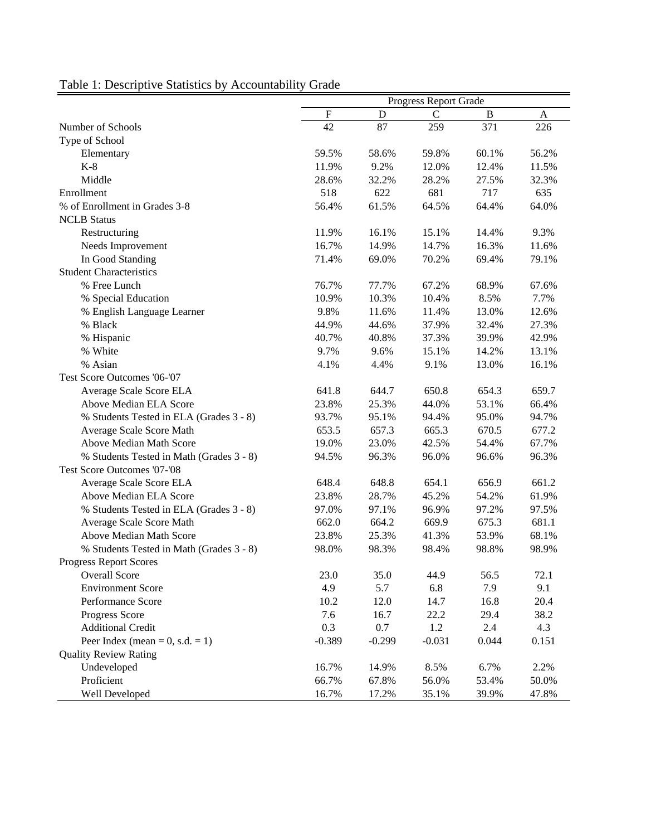|                                          |           |          | Progress Report Grade |              |              |
|------------------------------------------|-----------|----------|-----------------------|--------------|--------------|
|                                          | ${\bf F}$ | D        | $\mathbf C$           | $\, {\bf B}$ | $\mathbf{A}$ |
| Number of Schools                        | 42        | 87       | 259                   | 371          | 226          |
| Type of School                           |           |          |                       |              |              |
| Elementary                               | 59.5%     | 58.6%    | 59.8%                 | 60.1%        | 56.2%        |
| $K-8$                                    | 11.9%     | 9.2%     | 12.0%                 | 12.4%        | 11.5%        |
| Middle                                   | 28.6%     | 32.2%    | 28.2%                 | 27.5%        | 32.3%        |
| Enrollment                               | 518       | 622      | 681                   | 717          | 635          |
| % of Enrollment in Grades 3-8            | 56.4%     | 61.5%    | 64.5%                 | 64.4%        | 64.0%        |
| <b>NCLB</b> Status                       |           |          |                       |              |              |
| Restructuring                            | 11.9%     | 16.1%    | 15.1%                 | 14.4%        | 9.3%         |
| Needs Improvement                        | 16.7%     | 14.9%    | 14.7%                 | 16.3%        | 11.6%        |
| In Good Standing                         | 71.4%     | 69.0%    | 70.2%                 | 69.4%        | 79.1%        |
| <b>Student Characteristics</b>           |           |          |                       |              |              |
| % Free Lunch                             | 76.7%     | 77.7%    | 67.2%                 | 68.9%        | 67.6%        |
| % Special Education                      | 10.9%     | 10.3%    | 10.4%                 | 8.5%         | 7.7%         |
| % English Language Learner               | 9.8%      | 11.6%    | 11.4%                 | 13.0%        | 12.6%        |
| % Black                                  | 44.9%     | 44.6%    | 37.9%                 | 32.4%        | 27.3%        |
| % Hispanic                               | 40.7%     | 40.8%    | 37.3%                 | 39.9%        | 42.9%        |
| % White                                  | 9.7%      | 9.6%     | 15.1%                 | 14.2%        | 13.1%        |
| % Asian                                  | 4.1%      | 4.4%     | 9.1%                  | 13.0%        | 16.1%        |
| Test Score Outcomes '06-'07              |           |          |                       |              |              |
| Average Scale Score ELA                  | 641.8     | 644.7    | 650.8                 | 654.3        | 659.7        |
| Above Median ELA Score                   | 23.8%     | 25.3%    | 44.0%                 | 53.1%        | 66.4%        |
| % Students Tested in ELA (Grades 3 - 8)  | 93.7%     | 95.1%    | 94.4%                 | 95.0%        | 94.7%        |
| Average Scale Score Math                 | 653.5     | 657.3    | 665.3                 | 670.5        | 677.2        |
| Above Median Math Score                  | 19.0%     | 23.0%    | 42.5%                 | 54.4%        | 67.7%        |
| % Students Tested in Math (Grades 3 - 8) | 94.5%     | 96.3%    | 96.0%                 | 96.6%        | 96.3%        |
| Test Score Outcomes '07-'08              |           |          |                       |              |              |
| Average Scale Score ELA                  | 648.4     | 648.8    | 654.1                 | 656.9        | 661.2        |
| Above Median ELA Score                   | 23.8%     | 28.7%    | 45.2%                 | 54.2%        | 61.9%        |
| % Students Tested in ELA (Grades 3 - 8)  | 97.0%     | 97.1%    | 96.9%                 | 97.2%        | 97.5%        |
| Average Scale Score Math                 | 662.0     | 664.2    | 669.9                 | 675.3        | 681.1        |
| Above Median Math Score                  | 23.8%     | 25.3%    | 41.3%                 | 53.9%        | 68.1%        |
| % Students Tested in Math (Grades 3 - 8) | 98.0%     | 98.3%    | 98.4%                 | 98.8%        | 98.9%        |
| Progress Report Scores                   |           |          |                       |              |              |
| Overall Score                            | 23.0      | 35.0     | 44.9                  | 56.5         | 72.1         |
| <b>Environment Score</b>                 | 4.9       | 5.7      | 6.8                   | 7.9          | 9.1          |
| Performance Score                        | 10.2      | 12.0     | 14.7                  | 16.8         | 20.4         |
| Progress Score                           | 7.6       | 16.7     | 22.2                  | 29.4         | 38.2         |
| <b>Additional Credit</b>                 | 0.3       | 0.7      | 1.2                   | 2.4          | 4.3          |
| Peer Index (mean = $0$ , s.d. = 1)       | $-0.389$  | $-0.299$ | $-0.031$              | 0.044        | 0.151        |
| <b>Quality Review Rating</b>             |           |          |                       |              |              |
| Undeveloped                              | 16.7%     | 14.9%    | 8.5%                  | 6.7%         | 2.2%         |
| Proficient                               | 66.7%     | 67.8%    | 56.0%                 | 53.4%        | 50.0%        |
| Well Developed                           | 16.7%     | 17.2%    | 35.1%                 | 39.9%        | 47.8%        |

# Table 1: Descriptive Statistics by Accountability Grade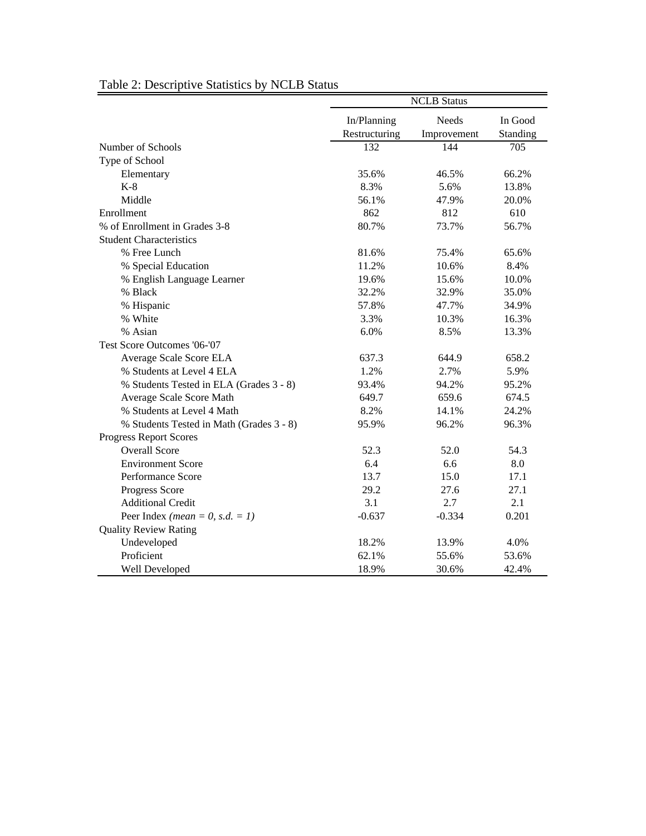|                                          | <b>NCLB</b> Status |              |          |  |  |  |  |  |
|------------------------------------------|--------------------|--------------|----------|--|--|--|--|--|
|                                          | In/Planning        | <b>Needs</b> | In Good  |  |  |  |  |  |
|                                          | Restructuring      | Improvement  | Standing |  |  |  |  |  |
| Number of Schools                        | 132                | 144          | 705      |  |  |  |  |  |
| Type of School                           |                    |              |          |  |  |  |  |  |
| Elementary                               | 35.6%              | 46.5%        | 66.2%    |  |  |  |  |  |
| $K-8$                                    | 8.3%               | 5.6%         | 13.8%    |  |  |  |  |  |
| Middle                                   | 56.1%              | 47.9%        | 20.0%    |  |  |  |  |  |
| Enrollment                               | 862                | 812          | 610      |  |  |  |  |  |
| % of Enrollment in Grades 3-8            | 80.7%              | 73.7%        | 56.7%    |  |  |  |  |  |
| <b>Student Characteristics</b>           |                    |              |          |  |  |  |  |  |
| % Free Lunch                             | 81.6%              | 75.4%        | 65.6%    |  |  |  |  |  |
| % Special Education                      | 11.2%              | 10.6%        | 8.4%     |  |  |  |  |  |
| % English Language Learner               | 19.6%              | 15.6%        | 10.0%    |  |  |  |  |  |
| % Black                                  | 32.2%              | 32.9%        | 35.0%    |  |  |  |  |  |
| % Hispanic                               | 57.8%              | 47.7%        | 34.9%    |  |  |  |  |  |
| % White                                  | 3.3%               | 10.3%        | 16.3%    |  |  |  |  |  |
| % Asian                                  | 6.0%               | 8.5%         | 13.3%    |  |  |  |  |  |
| Test Score Outcomes '06-'07              |                    |              |          |  |  |  |  |  |
| Average Scale Score ELA                  | 637.3              | 644.9        | 658.2    |  |  |  |  |  |
| % Students at Level 4 ELA                | 1.2%               | 2.7%         | 5.9%     |  |  |  |  |  |
| % Students Tested in ELA (Grades 3 - 8)  | 93.4%              | 94.2%        | 95.2%    |  |  |  |  |  |
| Average Scale Score Math                 | 649.7              | 659.6        | 674.5    |  |  |  |  |  |
| % Students at Level 4 Math               | 8.2%               | 14.1%        | 24.2%    |  |  |  |  |  |
| % Students Tested in Math (Grades 3 - 8) | 95.9%              | 96.2%        | 96.3%    |  |  |  |  |  |
| <b>Progress Report Scores</b>            |                    |              |          |  |  |  |  |  |
| <b>Overall Score</b>                     | 52.3               | 52.0         | 54.3     |  |  |  |  |  |
| <b>Environment Score</b>                 | 6.4                | 6.6          | 8.0      |  |  |  |  |  |
| Performance Score                        | 13.7               | 15.0         | 17.1     |  |  |  |  |  |
| Progress Score                           | 29.2               | 27.6         | 27.1     |  |  |  |  |  |
| <b>Additional Credit</b>                 | 3.1                | 2.7          | 2.1      |  |  |  |  |  |
| Peer Index ( <i>mean</i> = 0, s.d. = 1)  | $-0.637$           | $-0.334$     | 0.201    |  |  |  |  |  |
| <b>Quality Review Rating</b>             |                    |              |          |  |  |  |  |  |
| Undeveloped                              | 18.2%              | 13.9%        | 4.0%     |  |  |  |  |  |
| Proficient                               | 62.1%              | 55.6%        | 53.6%    |  |  |  |  |  |
| Well Developed                           | 18.9%              | 30.6%        | 42.4%    |  |  |  |  |  |

## Table 2: Descriptive Statistics by NCLB Status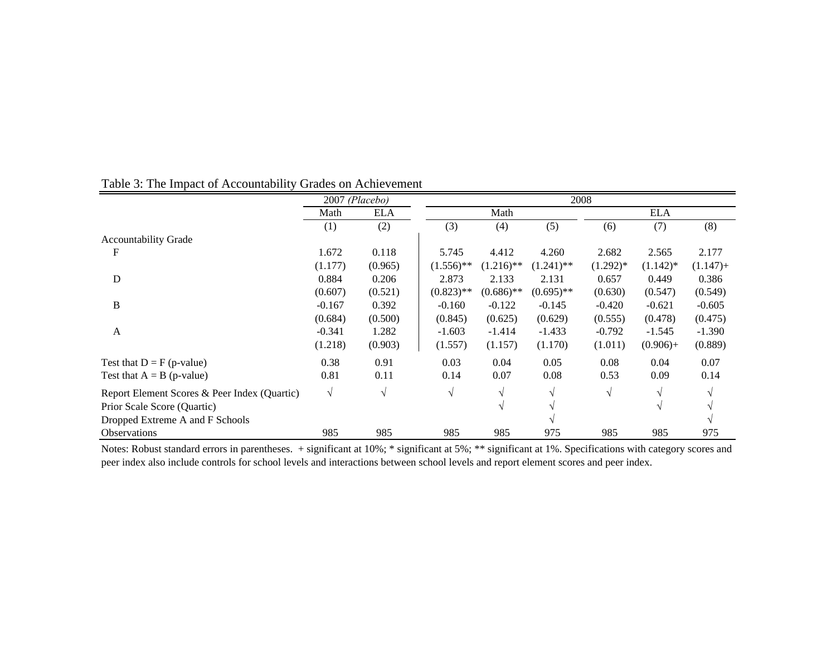|                                              |            | 2007 (Placebo) | 2008 |              |              |              |            |             |             |
|----------------------------------------------|------------|----------------|------|--------------|--------------|--------------|------------|-------------|-------------|
|                                              | Math       | <b>ELA</b>     |      |              | Math         |              |            | <b>ELA</b>  |             |
|                                              | (1)        | (2)            |      | (3)          | (4)          | (5)          | (6)        | (7)         | (8)         |
| <b>Accountability Grade</b>                  |            |                |      |              |              |              |            |             |             |
| F                                            | 1.672      | 0.118          |      | 5.745        | 4.412        | 4.260        | 2.682      | 2.565       | 2.177       |
|                                              | (1.177)    | (0.965)        |      | $(1.556)$ ** | $(1.216)$ ** | $(1.241)$ ** | $(1.292)*$ | $(1.142)^*$ | $(1.147) +$ |
| D                                            | 0.884      | 0.206          |      | 2.873        | 2.133        | 2.131        | 0.657      | 0.449       | 0.386       |
|                                              | (0.607)    | (0.521)        |      | $(0.823)$ ** | $(0.686)$ ** | $(0.695)$ ** | (0.630)    | (0.547)     | (0.549)     |
| B                                            | $-0.167$   | 0.392          |      | $-0.160$     | $-0.122$     | $-0.145$     | $-0.420$   | $-0.621$    | $-0.605$    |
|                                              | (0.684)    | (0.500)        |      | (0.845)      | (0.625)      | (0.629)      | (0.555)    | (0.478)     | (0.475)     |
| A                                            | $-0.341$   | 1.282          |      | $-1.603$     | $-1.414$     | $-1.433$     | $-0.792$   | $-1.545$    | $-1.390$    |
|                                              | (1.218)    | (0.903)        |      | (1.557)      | (1.157)      | (1.170)      | (1.011)    | $(0.906) +$ | (0.889)     |
| Test that $D = F(p-value)$                   | 0.38       | 0.91           |      | 0.03         | 0.04         | 0.05         | 0.08       | 0.04        | 0.07        |
| Test that $A = B$ (p-value)                  | 0.81       | 0.11           |      | 0.14         | 0.07         | 0.08         | 0.53       | 0.09        | 0.14        |
| Report Element Scores & Peer Index (Quartic) | $\sqrt{ }$ | $\sqrt{ }$     |      | V            |              |              | $\sqrt{ }$ |             |             |
| Prior Scale Score (Quartic)                  |            |                |      |              |              |              |            | V           |             |
| Dropped Extreme A and F Schools              |            |                |      |              |              |              |            |             |             |
| <b>Observations</b>                          | 985        | 985            |      | 985          | 985          | 975          | 985        | 985         | 975         |

## Table 3: The Impact of Accountability Grades on Achievement

Notes: Robust standard errors in parentheses. + significant at 10%; \* significant at 5%; \*\* significant at 1%. Specifications with category scores and peer index also include controls for school levels and interactions between school levels and report element scores and peer index.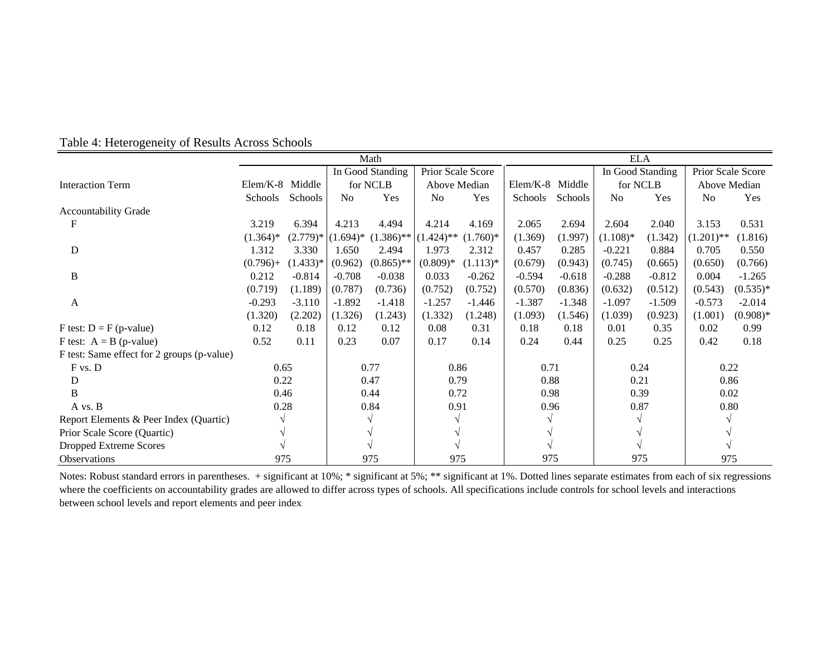|                                            |                 |            | Math        |                  |                   |            |                 | <b>ELA</b> |                  |          |                   |            |
|--------------------------------------------|-----------------|------------|-------------|------------------|-------------------|------------|-----------------|------------|------------------|----------|-------------------|------------|
|                                            |                 |            |             | In Good Standing | Prior Scale Score |            |                 |            | In Good Standing |          | Prior Scale Score |            |
| <b>Interaction Term</b>                    | Elem/K-8 Middle |            |             | for NCLB         | Above Median      |            | Elem/K-8 Middle |            | for NCLB         |          | Above Median      |            |
|                                            | Schools         | Schools    | No          | Yes              | N <sub>0</sub>    | Yes        | Schools         | Schools    | N <sub>o</sub>   | Yes      | N <sub>o</sub>    | Yes        |
| <b>Accountability Grade</b>                |                 |            |             |                  |                   |            |                 |            |                  |          |                   |            |
|                                            | 3.219           | 6.394      | 4.213       | 4.494            | 4.214             | 4.169      | 2.065           | 2.694      | 2.604            | 2.040    | 3.153             | 0.531      |
|                                            | $(1.364)*$      | $(2.779)*$ | $(1.694)^*$ | $(1.386)$ **     | $(1.424)$ **      | $(1.760)*$ | (1.369)         | (1.997)    | $(1.108)*$       | (1.342)  | $(1.201)$ **      | (1.816)    |
| D                                          | 1.312           | 3.330      | 1.650       | 2.494            | 1.973             | 2.312      | 0.457           | 0.285      | $-0.221$         | 0.884    | 0.705             | 0.550      |
|                                            | $(0.796) +$     | $(1.433)*$ | (0.962)     | $(0.865)$ **     | $(0.809)*$        | $(1.113)*$ | (0.679)         | (0.943)    | (0.745)          | (0.665)  | (0.650)           | (0.766)    |
| B                                          | 0.212           | $-0.814$   | $-0.708$    | $-0.038$         | 0.033             | $-0.262$   | $-0.594$        | $-0.618$   | $-0.288$         | $-0.812$ | 0.004             | $-1.265$   |
|                                            | (0.719)         | (1.189)    | (0.787)     | (0.736)          | (0.752)           | (0.752)    | (0.570)         | (0.836)    | (0.632)          | (0.512)  | (0.543)           | $(0.535)*$ |
| A                                          | $-0.293$        | $-3.110$   | $-1.892$    | $-1.418$         | $-1.257$          | $-1.446$   | $-1.387$        | $-1.348$   | $-1.097$         | $-1.509$ | $-0.573$          | $-2.014$   |
|                                            | (1.320)         | (2.202)    | (1.326)     | (1.243)          | (1.332)           | (1.248)    | (1.093)         | (1.546)    | (1.039)          | (0.923)  | (1.001)           | $(0.908)*$ |
| $F$ test: $D = F$ (p-value)                | 0.12            | 0.18       | 0.12        | 0.12             | 0.08              | 0.31       | 0.18            | 0.18       | 0.01             | 0.35     | 0.02              | 0.99       |
| F test: $A = B$ (p-value)                  | 0.52            | 0.11       | 0.23        | 0.07             | 0.17              | 0.14       | 0.24            | 0.44       | 0.25             | 0.25     | 0.42              | 0.18       |
| F test: Same effect for 2 groups (p-value) |                 |            |             |                  |                   |            |                 |            |                  |          |                   |            |
| F vs. D                                    | 0.65            |            |             | 0.77             | 0.86              |            | 0.71            |            | 0.24             |          | 0.22              |            |
| D                                          | 0.22            |            |             | 0.47             | 0.79              |            | 0.88            |            | 0.21             |          | 0.86              |            |
| B                                          | 0.46            |            |             | 0.44             | 0.72              |            | 0.98            |            | 0.39             |          | 0.02              |            |
| A vs. B                                    | 0.28            |            |             | 0.84             | 0.91              |            | 0.96            |            | 0.87             |          | 0.80              |            |
| Report Elements & Peer Index (Quartic)     |                 |            |             |                  |                   |            |                 |            |                  |          |                   |            |
| Prior Scale Score (Quartic)                |                 |            |             |                  |                   |            |                 |            |                  |          |                   |            |
| <b>Dropped Extreme Scores</b>              |                 |            |             |                  |                   |            |                 |            |                  |          |                   |            |
| Observations                               | 975             |            |             | 975              | 975               |            | 975             |            | 975              |          | 975               |            |

Table 4: Heterogeneity of Results Across Schools

Notes: Robust standard errors in parentheses. + significant at 10%; \* significant at 5%; \*\* significant at 1%. Dotted lines separate estimates from each of six regressions where the coefficients on accountability grades are allowed to differ across types of schools. All specifications include controls for school levels and interactions between school levels and report elements and peer index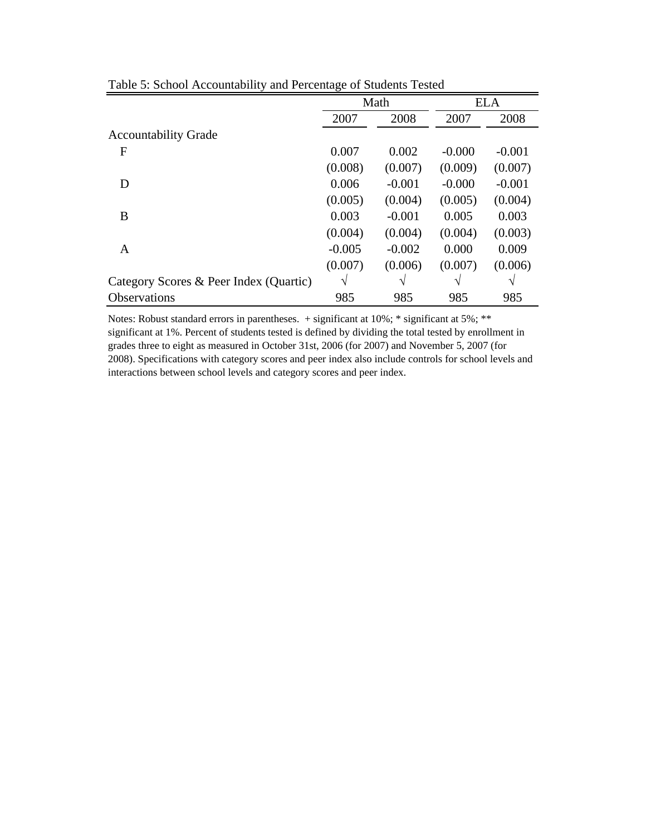|                                        |          | Math     |          | <b>ELA</b> |
|----------------------------------------|----------|----------|----------|------------|
|                                        | 2007     | 2008     | 2007     | 2008       |
| <b>Accountability Grade</b>            |          |          |          |            |
| F                                      | 0.007    | 0.002    | $-0.000$ | $-0.001$   |
|                                        | (0.008)  | (0.007)  | (0.009)  | (0.007)    |
| D                                      | 0.006    | $-0.001$ | $-0.000$ | $-0.001$   |
|                                        | (0.005)  | (0.004)  | (0.005)  | (0.004)    |
| B                                      | 0.003    | $-0.001$ | 0.005    | 0.003      |
|                                        | (0.004)  | (0.004)  | (0.004)  | (0.003)    |
| A                                      | $-0.005$ | $-0.002$ | 0.000    | 0.009      |
|                                        | (0.007)  | (0.006)  | (0.007)  | (0.006)    |
| Category Scores & Peer Index (Quartic) | V        |          | V        |            |
| <b>Observations</b>                    | 985      | 985      | 985      | 985        |

Table 5: School Accountability and Percentage of Students Tested

Notes: Robust standard errors in parentheses. + significant at 10%; \* significant at 5%; \*\* significant at 1%. Percent of students tested is defined by dividing the total tested by enrollment in grades three to eight as measured in October 31st, 2006 (for 2007) and November 5, 2007 (for 2008). Specifications with category scores and peer index also include controls for school levels and interactions between school levels and category scores and peer index.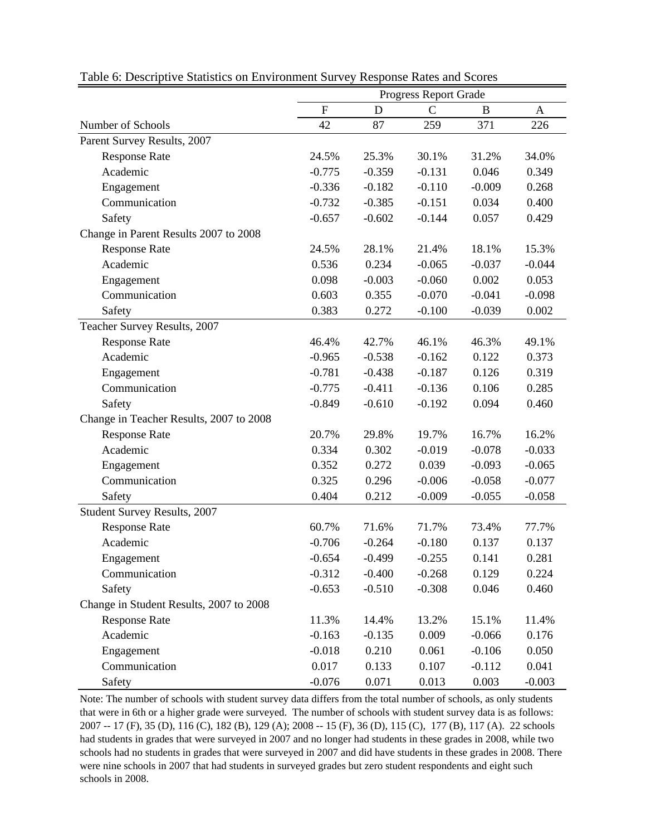|                                         | <b>Progress Report Grade</b><br>$\overline{F}$<br>$\mathcal{C}$<br>$\mathbf D$<br>B<br>$\mathbf A$ |          |          |          |          |  |  |  |
|-----------------------------------------|----------------------------------------------------------------------------------------------------|----------|----------|----------|----------|--|--|--|
|                                         |                                                                                                    |          |          |          |          |  |  |  |
| Number of Schools                       | 42                                                                                                 | 87       | 259      | 371      | 226      |  |  |  |
| Parent Survey Results, 2007             |                                                                                                    |          |          |          |          |  |  |  |
| <b>Response Rate</b>                    | 24.5%                                                                                              | 25.3%    | 30.1%    | 31.2%    | 34.0%    |  |  |  |
| Academic                                | $-0.775$                                                                                           | $-0.359$ | $-0.131$ | 0.046    | 0.349    |  |  |  |
| Engagement                              | $-0.336$                                                                                           | $-0.182$ | $-0.110$ | $-0.009$ | 0.268    |  |  |  |
| Communication                           | $-0.732$                                                                                           | $-0.385$ | $-0.151$ | 0.034    | 0.400    |  |  |  |
| Safety                                  | $-0.657$                                                                                           | $-0.602$ | $-0.144$ | 0.057    | 0.429    |  |  |  |
| Change in Parent Results 2007 to 2008   |                                                                                                    |          |          |          |          |  |  |  |
| <b>Response Rate</b>                    | 24.5%                                                                                              | 28.1%    | 21.4%    | 18.1%    | 15.3%    |  |  |  |
| Academic                                | 0.536                                                                                              | 0.234    | $-0.065$ | $-0.037$ | $-0.044$ |  |  |  |
| Engagement                              | 0.098                                                                                              | $-0.003$ | $-0.060$ | 0.002    | 0.053    |  |  |  |
| Communication                           | 0.603                                                                                              | 0.355    | $-0.070$ | $-0.041$ | $-0.098$ |  |  |  |
| Safety                                  | 0.383                                                                                              | 0.272    | $-0.100$ | $-0.039$ | 0.002    |  |  |  |
| Teacher Survey Results, 2007            |                                                                                                    |          |          |          |          |  |  |  |
| <b>Response Rate</b>                    | 46.4%                                                                                              | 42.7%    | 46.1%    | 46.3%    | 49.1%    |  |  |  |
| Academic                                | $-0.965$                                                                                           | $-0.538$ | $-0.162$ | 0.122    | 0.373    |  |  |  |
| Engagement                              | $-0.781$                                                                                           | $-0.438$ | $-0.187$ | 0.126    | 0.319    |  |  |  |
| Communication                           | $-0.775$                                                                                           | $-0.411$ | $-0.136$ | 0.106    | 0.285    |  |  |  |
| Safety                                  | $-0.849$                                                                                           | $-0.610$ | $-0.192$ | 0.094    | 0.460    |  |  |  |
| Change in Teacher Results, 2007 to 2008 |                                                                                                    |          |          |          |          |  |  |  |
| <b>Response Rate</b>                    | 20.7%                                                                                              | 29.8%    | 19.7%    | 16.7%    | 16.2%    |  |  |  |
| Academic                                | 0.334                                                                                              | 0.302    | $-0.019$ | $-0.078$ | $-0.033$ |  |  |  |
| Engagement                              | 0.352                                                                                              | 0.272    | 0.039    | $-0.093$ | $-0.065$ |  |  |  |
| Communication                           | 0.325                                                                                              | 0.296    | $-0.006$ | $-0.058$ | $-0.077$ |  |  |  |
| Safety                                  | 0.404                                                                                              | 0.212    | $-0.009$ | $-0.055$ | $-0.058$ |  |  |  |
| Student Survey Results, 2007            |                                                                                                    |          |          |          |          |  |  |  |
| <b>Response Rate</b>                    | 60.7%                                                                                              | 71.6%    | 71.7%    | 73.4%    | 77.7%    |  |  |  |
| Academic                                | $-0.706$                                                                                           | $-0.264$ | $-0.180$ | 0.137    | 0.137    |  |  |  |
| Engagement                              | $-0.654$                                                                                           | $-0.499$ | $-0.255$ | 0.141    | 0.281    |  |  |  |
| Communication                           | $-0.312$                                                                                           | $-0.400$ | $-0.268$ | 0.129    | 0.224    |  |  |  |
| Safety                                  | $-0.653$                                                                                           | $-0.510$ | $-0.308$ | 0.046    | 0.460    |  |  |  |
| Change in Student Results, 2007 to 2008 |                                                                                                    |          |          |          |          |  |  |  |
| <b>Response Rate</b>                    | 11.3%                                                                                              | 14.4%    | 13.2%    | 15.1%    | 11.4%    |  |  |  |
| Academic                                | $-0.163$                                                                                           | $-0.135$ | 0.009    | $-0.066$ | 0.176    |  |  |  |
| Engagement                              | $-0.018$                                                                                           | 0.210    | 0.061    | $-0.106$ | 0.050    |  |  |  |
| Communication                           | 0.017                                                                                              | 0.133    | 0.107    | $-0.112$ | 0.041    |  |  |  |
| Safety                                  | $-0.076$                                                                                           | 0.071    | 0.013    | 0.003    | $-0.003$ |  |  |  |

Table 6: Descriptive Statistics on Environment Survey Response Rates and Scores

Note: The number of schools with student survey data differs from the total number of schools, as only students that were in 6th or a higher grade were surveyed. The number of schools with student survey data is as follows: 2007 -- 17 (F), 35 (D), 116 (C), 182 (B), 129 (A); 2008 -- 15 (F), 36 (D), 115 (C), 177 (B), 117 (A). 22 schools had students in grades that were surveyed in 2007 and no longer had students in these grades in 2008, while two schools had no students in grades that were surveyed in 2007 and did have students in these grades in 2008. There were nine schools in 2007 that had students in surveyed grades but zero student respondents and eight such schools in 2008.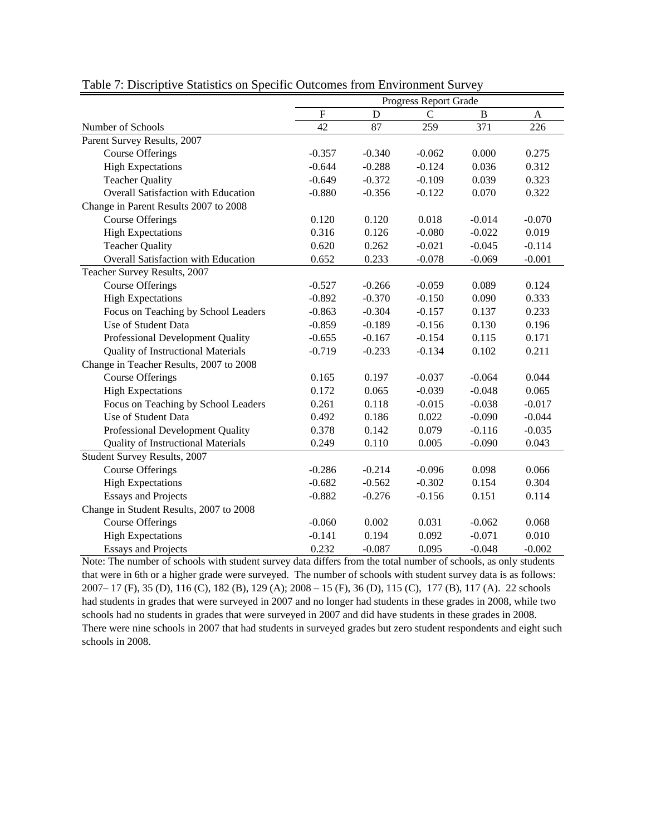|                                           | Progress Report Grade<br>$\mathbf F$<br>$\overline{C}$<br>D<br>B<br>$\mathbf{A}$<br>42<br>87<br>259<br>371<br>226<br>$-0.357$<br>$-0.340$<br>$-0.062$<br>0.000<br>0.275 |          |          |          |          |  |  |  |
|-------------------------------------------|-------------------------------------------------------------------------------------------------------------------------------------------------------------------------|----------|----------|----------|----------|--|--|--|
|                                           |                                                                                                                                                                         |          |          |          |          |  |  |  |
| Number of Schools                         |                                                                                                                                                                         |          |          |          |          |  |  |  |
| Parent Survey Results, 2007               |                                                                                                                                                                         |          |          |          |          |  |  |  |
| <b>Course Offerings</b>                   |                                                                                                                                                                         |          |          |          |          |  |  |  |
| <b>High Expectations</b>                  | $-0.644$                                                                                                                                                                | $-0.288$ | $-0.124$ | 0.036    | 0.312    |  |  |  |
| <b>Teacher Quality</b>                    | $-0.649$                                                                                                                                                                | $-0.372$ | $-0.109$ | 0.039    | 0.323    |  |  |  |
| Overall Satisfaction with Education       | $-0.880$                                                                                                                                                                | $-0.356$ | $-0.122$ | 0.070    | 0.322    |  |  |  |
| Change in Parent Results 2007 to 2008     |                                                                                                                                                                         |          |          |          |          |  |  |  |
| <b>Course Offerings</b>                   | 0.120                                                                                                                                                                   | 0.120    | 0.018    | $-0.014$ | $-0.070$ |  |  |  |
| <b>High Expectations</b>                  | 0.316                                                                                                                                                                   | 0.126    | $-0.080$ | $-0.022$ | 0.019    |  |  |  |
| <b>Teacher Quality</b>                    | 0.620                                                                                                                                                                   | 0.262    | $-0.021$ | $-0.045$ | $-0.114$ |  |  |  |
| Overall Satisfaction with Education       | 0.652                                                                                                                                                                   | 0.233    | $-0.078$ | $-0.069$ | $-0.001$ |  |  |  |
| Teacher Survey Results, 2007              |                                                                                                                                                                         |          |          |          |          |  |  |  |
| <b>Course Offerings</b>                   | $-0.527$                                                                                                                                                                | $-0.266$ | $-0.059$ | 0.089    | 0.124    |  |  |  |
| <b>High Expectations</b>                  | $-0.892$                                                                                                                                                                | $-0.370$ | $-0.150$ | 0.090    | 0.333    |  |  |  |
| Focus on Teaching by School Leaders       | $-0.863$                                                                                                                                                                | $-0.304$ | $-0.157$ | 0.137    | 0.233    |  |  |  |
| Use of Student Data                       | $-0.859$                                                                                                                                                                | $-0.189$ | $-0.156$ | 0.130    | 0.196    |  |  |  |
| Professional Development Quality          | $-0.655$                                                                                                                                                                | $-0.167$ | $-0.154$ | 0.115    | 0.171    |  |  |  |
| <b>Quality of Instructional Materials</b> | $-0.719$                                                                                                                                                                | $-0.233$ | $-0.134$ | 0.102    | 0.211    |  |  |  |
| Change in Teacher Results, 2007 to 2008   |                                                                                                                                                                         |          |          |          |          |  |  |  |
| <b>Course Offerings</b>                   | 0.165                                                                                                                                                                   | 0.197    | $-0.037$ | $-0.064$ | 0.044    |  |  |  |
| <b>High Expectations</b>                  | 0.172                                                                                                                                                                   | 0.065    | $-0.039$ | $-0.048$ | 0.065    |  |  |  |
| Focus on Teaching by School Leaders       | 0.261                                                                                                                                                                   | 0.118    | $-0.015$ | $-0.038$ | $-0.017$ |  |  |  |
| Use of Student Data                       | 0.492                                                                                                                                                                   | 0.186    | 0.022    | $-0.090$ | $-0.044$ |  |  |  |
| Professional Development Quality          | 0.378                                                                                                                                                                   | 0.142    | 0.079    | $-0.116$ | $-0.035$ |  |  |  |
| <b>Quality of Instructional Materials</b> | 0.249                                                                                                                                                                   | 0.110    | 0.005    | $-0.090$ | 0.043    |  |  |  |
| Student Survey Results, 2007              |                                                                                                                                                                         |          |          |          |          |  |  |  |
| <b>Course Offerings</b>                   | $-0.286$                                                                                                                                                                | $-0.214$ | $-0.096$ | 0.098    | 0.066    |  |  |  |
| <b>High Expectations</b>                  | $-0.682$                                                                                                                                                                | $-0.562$ | $-0.302$ | 0.154    | 0.304    |  |  |  |
| <b>Essays and Projects</b>                | $-0.882$                                                                                                                                                                | $-0.276$ | $-0.156$ | 0.151    | 0.114    |  |  |  |
| Change in Student Results, 2007 to 2008   |                                                                                                                                                                         |          |          |          |          |  |  |  |
| <b>Course Offerings</b>                   | $-0.060$                                                                                                                                                                | 0.002    | 0.031    | $-0.062$ | 0.068    |  |  |  |
| <b>High Expectations</b>                  | $-0.141$                                                                                                                                                                | 0.194    | 0.092    | $-0.071$ | 0.010    |  |  |  |
| <b>Essays and Projects</b>                | 0.232                                                                                                                                                                   | $-0.087$ | 0.095    | $-0.048$ | $-0.002$ |  |  |  |

Table 7: Discriptive Statistics on Specific Outcomes from Environment Survey

Note: The number of schools with student survey data differs from the total number of schools, as only students that were in 6th or a higher grade were surveyed. The number of schools with student survey data is as follows: 2007– 17 (F), 35 (D), 116 (C), 182 (B), 129 (A); 2008 – 15 (F), 36 (D), 115 (C), 177 (B), 117 (A). 22 schools had students in grades that were surveyed in 2007 and no longer had students in these grades in 2008, while two schools had no students in grades that were surveyed in 2007 and did have students in these grades in 2008. There were nine schools in 2007 that had students in surveyed grades but zero student respondents and eight such schools in 2008.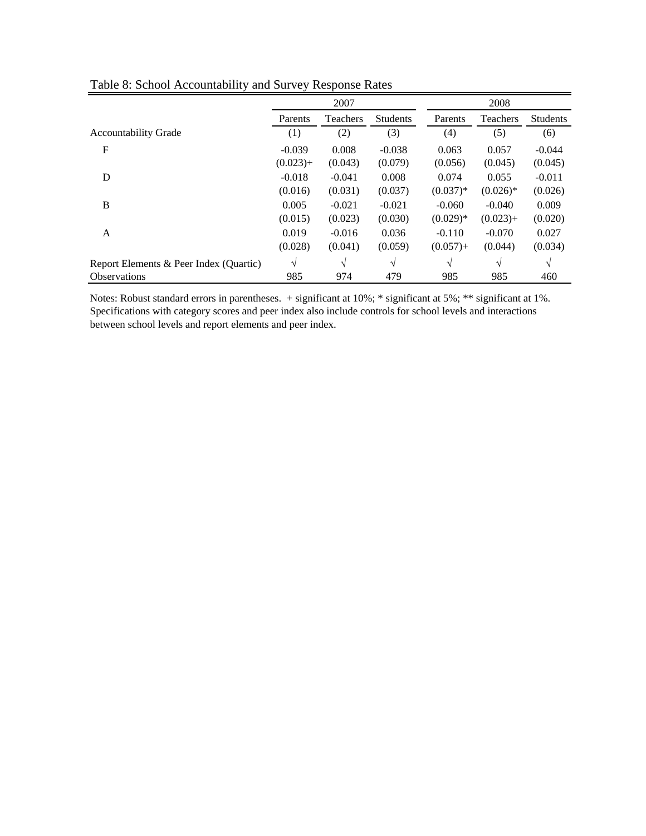|                                        |             | 2007            |                 |             | 2008            |                 |
|----------------------------------------|-------------|-----------------|-----------------|-------------|-----------------|-----------------|
|                                        | Parents     | <b>Teachers</b> | <b>Students</b> | Parents     | <b>Teachers</b> | <b>Students</b> |
| <b>Accountability Grade</b>            | (1)         | (2)             | (3)             | (4)         | (5)             | (6)             |
| F                                      | $-0.039$    | 0.008           | $-0.038$        | 0.063       | 0.057           | $-0.044$        |
|                                        | $(0.023) +$ | (0.043)         | (0.079)         | (0.056)     | (0.045)         | (0.045)         |
| D                                      | $-0.018$    | $-0.041$        | 0.008           | 0.074       | 0.055           | $-0.011$        |
|                                        | (0.016)     | (0.031)         | (0.037)         | $(0.037)*$  | $(0.026)*$      | (0.026)         |
| B                                      | 0.005       | $-0.021$        | $-0.021$        | $-0.060$    | $-0.040$        | 0.009           |
|                                        | (0.015)     | (0.023)         | (0.030)         | $(0.029)*$  | $(0.023) +$     | (0.020)         |
| A                                      | 0.019       | $-0.016$        | 0.036           | $-0.110$    | $-0.070$        | 0.027           |
|                                        | (0.028)     | (0.041)         | (0.059)         | $(0.057) +$ | (0.044)         | (0.034)         |
| Report Elements & Peer Index (Quartic) | V           | N               | V               | V           | V               |                 |
| <b>Observations</b>                    | 985         | 974             | 479             | 985         | 985             | 460             |

Table 8: School Accountability and Survey Response Rates

Notes: Robust standard errors in parentheses. + significant at 10%; \* significant at 5%; \*\* significant at 1%. Specifications with category scores and peer index also include controls for school levels and interactions between school levels and report elements and peer index.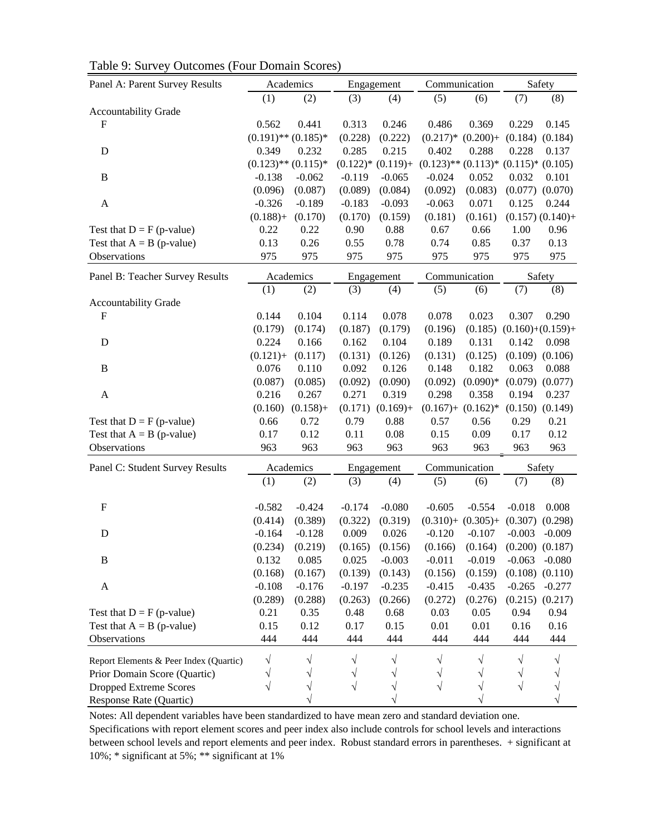| Panel A: Parent Survey Results         |                          | Academics   |          | Engagement              |            | Communication                                  |                     | Safety                |
|----------------------------------------|--------------------------|-------------|----------|-------------------------|------------|------------------------------------------------|---------------------|-----------------------|
|                                        | (1)                      | (2)         | (3)      | (4)                     | (5)        | (6)                                            | (7)                 | (8)                   |
| <b>Accountability Grade</b>            |                          |             |          |                         |            |                                                |                     |                       |
| $\mathbf F$                            | 0.562                    | 0.441       | 0.313    | 0.246                   | 0.486      | 0.369                                          | 0.229               | 0.145                 |
|                                        | $(0.191)$ ** $(0.185)$ * |             | (0.228)  | (0.222)                 | $(0.217)*$ | $(0.200) +$                                    | (0.184)             | (0.184)               |
| D                                      | 0.349                    | 0.232       | 0.285    | 0.215                   | 0.402      | 0.288                                          | 0.228               | 0.137                 |
|                                        | $(0.123)$ ** $(0.115)$ * |             |          | $(0.122)$ * $(0.119)$ + |            | $(0.123)$ ** $(0.113)$ * $(0.115)$ * $(0.105)$ |                     |                       |
| B                                      | $-0.138$                 | $-0.062$    | $-0.119$ | $-0.065$                | $-0.024$   | 0.052                                          | 0.032               | 0.101                 |
|                                        | (0.096)                  | (0.087)     | (0.089)  | (0.084)                 | (0.092)    | (0.083)                                        | (0.077)             | (0.070)               |
| $\mathbf{A}$                           | $-0.326$                 | $-0.189$    | $-0.183$ | $-0.093$                | $-0.063$   | 0.071                                          | 0.125               | 0.244                 |
|                                        | $(0.188) +$              | (0.170)     | (0.170)  | (0.159)                 | (0.181)    | (0.161)                                        |                     | $(0.157)$ $(0.140) +$ |
| Test that $D = F(p-value)$             | 0.22                     | 0.22        | 0.90     | 0.88                    | 0.67       | 0.66                                           | 1.00                | 0.96                  |
| Test that $A = B$ (p-value)            | 0.13                     | 0.26        | 0.55     | 0.78                    | 0.74       | 0.85                                           | 0.37                | 0.13                  |
| Observations                           | 975                      | 975         | 975      | 975                     | 975        | 975                                            | 975                 | 975                   |
| Panel B: Teacher Survey Results        |                          | Academics   |          | Engagement              |            | Communication                                  |                     | Safety                |
|                                        | (1)                      | (2)         | (3)      | (4)                     | (5)        | (6)                                            | (7)                 | (8)                   |
| <b>Accountability Grade</b>            |                          |             |          |                         |            |                                                |                     |                       |
| F                                      | 0.144                    | 0.104       | 0.114    | 0.078                   | 0.078      | 0.023                                          | 0.307               | 0.290                 |
|                                        | (0.179)                  | (0.174)     | (0.187)  | (0.179)                 | (0.196)    | (0.185)                                        | $(0.160)+(0.159) +$ |                       |
| D                                      | 0.224                    | 0.166       | 0.162    | 0.104                   | 0.189      | 0.131                                          | 0.142               | 0.098                 |
|                                        | $(0.121) +$              | (0.117)     | (0.131)  | (0.126)                 | (0.131)    | (0.125)                                        | (0.109)             | (0.106)               |
| B                                      | 0.076                    | 0.110       | 0.092    | 0.126                   | 0.148      | 0.182                                          | 0.063               | 0.088                 |
|                                        | (0.087)                  | (0.085)     | (0.092)  | (0.090)                 | (0.092)    | $(0.090)*$                                     | (0.079)             | (0.077)               |
| A                                      | 0.216                    | 0.267       | 0.271    | 0.319                   | 0.298      | 0.358                                          | 0.194               | 0.237                 |
|                                        | (0.160)                  | $(0.158) +$ | (0.171)  | $(0.169) +$             |            | $(0.167) + (0.162)^*$                          |                     | $(0.150)$ $(0.149)$   |
| Test that $D = F(p-value)$             | 0.66                     | 0.72        | 0.79     | 0.88                    | 0.57       | 0.56                                           | 0.29                | 0.21                  |
| Test that $A = B$ (p-value)            | 0.17                     | 0.12        | 0.11     | 0.08                    | 0.15       | 0.09                                           | 0.17                | 0.12                  |
| Observations                           | 963                      | 963         | 963      | 963                     | 963        | 963                                            | 963                 | 963                   |
| Panel C: Student Survey Results        |                          | Academics   |          | Engagement              |            | Communication                                  | Safety              |                       |
|                                        | (1)                      | (2)         | (3)      | (4)                     | (5)        | (6)                                            | (7)                 | (8)                   |
| ${\bf F}$                              | $-0.582$                 | $-0.424$    | $-0.174$ | $-0.080$                | $-0.605$   | $-0.554$                                       | $-0.018$            | 0.008                 |
|                                        | (0.414)                  | (0.389)     | (0.322)  | (0.319)                 |            | $(0.310) + (0.305) + (0.307)$                  |                     | (0.298)               |
| D                                      | $-0.164$                 | $-0.128$    | 0.009    | 0.026                   | $-0.120$   | $-0.107$                                       | $-0.003$            | $-0.009$              |
|                                        | (0.234)                  | (0.219)     |          | $(0.165)$ $(0.156)$     |            | $(0.166)$ $(0.164)$ $(0.200)$ $(0.187)$        |                     |                       |
| B                                      | 0.132                    | 0.085       | 0.025    | $-0.003$                | $-0.011$   | $-0.019$                                       | $-0.063$            | $-0.080$              |
|                                        | (0.168)                  | (0.167)     | (0.139)  | (0.143)                 | (0.156)    | (0.159)                                        |                     | $(0.108)$ $(0.110)$   |
| $\boldsymbol{A}$                       | $-0.108$                 | $-0.176$    | $-0.197$ | $-0.235$                | $-0.415$   | $-0.435$                                       | $-0.265$            | $-0.277$              |
|                                        | (0.289)                  | (0.288)     | (0.263)  | (0.266)                 | (0.272)    | (0.276)                                        | (0.215)             | (0.217)               |
| Test that $D = F(p-value)$             | 0.21                     | 0.35        | 0.48     | 0.68                    | 0.03       | 0.05                                           | 0.94                | 0.94                  |
| Test that $A = B$ (p-value)            | 0.15                     | 0.12        | 0.17     | 0.15                    | 0.01       | 0.01                                           | 0.16                | 0.16                  |
| Observations                           | 444                      | 444         | 444      | 444                     | 444        | 444                                            | 444                 | 444                   |
|                                        |                          |             |          |                         |            |                                                |                     |                       |
| Report Elements & Peer Index (Quartic) | V                        |             |          |                         |            |                                                | V                   |                       |
| Prior Domain Score (Quartic)           |                          |             |          |                         |            |                                                | V                   |                       |
| <b>Dropped Extreme Scores</b>          | V                        | ٦           | V        |                         | $\sqrt{}$  |                                                | $\sqrt{}$           |                       |
| Response Rate (Quartic)                |                          |             |          |                         |            |                                                |                     |                       |

Table 9: Survey Outcomes (Four Domain Scores)

Notes: All dependent variables have been standardized to have mean zero and standard deviation one.

Specifications with report element scores and peer index also include controls for school levels and interactions between school levels and report elements and peer index. Robust standard errors in parentheses. + significant at 10%; \* significant at 5%; \*\* significant at 1%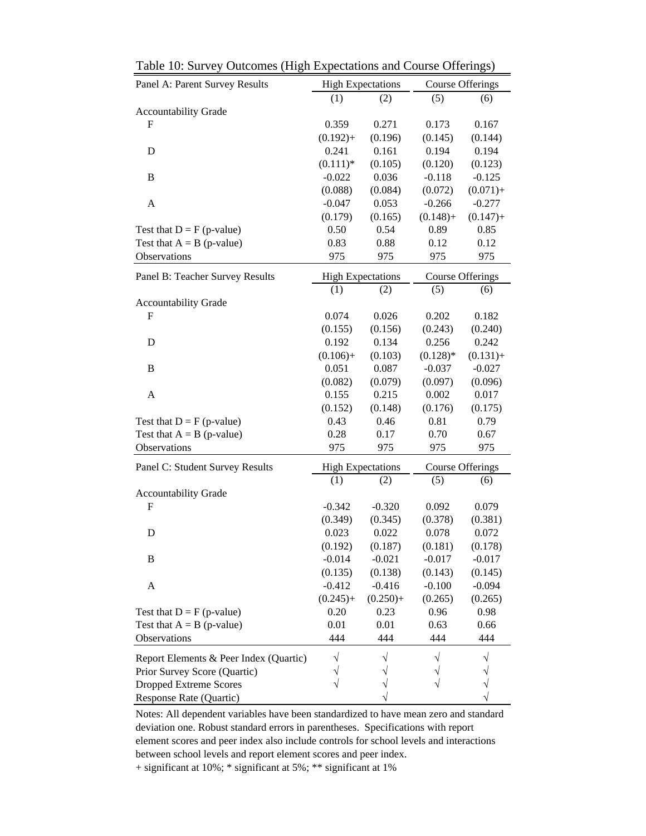| Panel A: Parent Survey Results         |             | <b>High Expectations</b> |                                       | <b>Course Offerings</b> |  |
|----------------------------------------|-------------|--------------------------|---------------------------------------|-------------------------|--|
|                                        | (1)         | (2)                      | (5)                                   | (6)                     |  |
| <b>Accountability Grade</b>            |             |                          |                                       |                         |  |
| $\mathbf F$                            | 0.359       | 0.271                    | 0.173                                 | 0.167                   |  |
|                                        | $(0.192) +$ | (0.196)                  | (0.145)                               | (0.144)                 |  |
| D                                      | 0.241       | 0.161                    | 0.194                                 | 0.194                   |  |
|                                        | $(0.111)*$  | (0.105)                  | (0.120)                               | (0.123)                 |  |
| B                                      | $-0.022$    | 0.036                    | $-0.118$                              | $-0.125$                |  |
|                                        | (0.088)     | (0.084)                  | (0.072)                               | $(0.071) +$             |  |
| A                                      | $-0.047$    | 0.053                    | $-0.266$                              | $-0.277$                |  |
|                                        | (0.179)     | (0.165)                  | $(0.148) +$                           | $(0.147) +$             |  |
| Test that $D = F(p-value)$             | 0.50        | 0.54                     | 0.89                                  | 0.85                    |  |
| Test that $A = B$ (p-value)            | 0.83        | 0.88                     | 0.12                                  | 0.12                    |  |
| Observations                           | 975         | 975                      | 975                                   | 975                     |  |
| Panel B: Teacher Survey Results        |             | <b>High Expectations</b> |                                       | <b>Course Offerings</b> |  |
|                                        | (1)         | (2)                      | (5)                                   | (6)                     |  |
| <b>Accountability Grade</b>            |             |                          |                                       |                         |  |
| $\mathbf F$                            | 0.074       | 0.026                    | 0.202                                 | 0.182                   |  |
|                                        | (0.155)     | (0.156)                  | (0.243)                               | (0.240)                 |  |
| D                                      | 0.192       | 0.134                    | 0.256                                 | 0.242                   |  |
|                                        | $(0.106) +$ | (0.103)                  | $(0.128)$ *                           | $(0.131) +$             |  |
| B                                      | 0.051       | 0.087                    | $-0.037$                              | $-0.027$                |  |
|                                        | (0.082)     | (0.079)                  | (0.097)                               | (0.096)                 |  |
| A                                      | 0.155       | 0.215                    | 0.002                                 | 0.017                   |  |
|                                        | (0.152)     | (0.148)                  | (0.176)                               | (0.175)                 |  |
| Test that $D = F(p-value)$             | 0.43        | 0.46                     | 0.81                                  | 0.79                    |  |
| Test that $A = B$ (p-value)            | 0.28        | 0.17                     | 0.70                                  | 0.67                    |  |
| Observations                           | 975         | 975                      | 975                                   | 975                     |  |
| Panel C: Student Survey Results        |             | <b>High Expectations</b> | <b>Course Offerings</b><br>(5)<br>(6) |                         |  |
|                                        | (1)         | (2)                      |                                       |                         |  |
| <b>Accountability Grade</b>            |             |                          |                                       |                         |  |
| $\mathbf{F}$                           | $-0.342$    | $-0.320$                 | 0.092                                 | 0.079                   |  |
|                                        | (0.349)     | (0.345)                  | (0.378)                               | (0.381)                 |  |
| D                                      | 0.023       | 0.022                    | 0.078                                 | 0.072                   |  |
|                                        | (0.192)     | (0.187)                  | (0.181)                               | (0.178)                 |  |
| B                                      | $-0.014$    | $-0.021$                 | $-0.017$                              | $-0.017$                |  |
|                                        | (0.135)     | (0.138)                  | (0.143)                               | (0.145)                 |  |
| A                                      | $-0.412$    | $-0.416$                 | $-0.100$                              | $-0.094$                |  |
|                                        | $(0.245) +$ | $(0.250) +$              | (0.265)                               | (0.265)                 |  |
| Test that $D = F(p-value)$             | 0.20        | 0.23                     | 0.96                                  | 0.98                    |  |
| Test that $A = B$ (p-value)            | 0.01        | 0.01                     | 0.63                                  | 0.66                    |  |
| Observations                           | 444         | 444                      | 444                                   | 444                     |  |
| Report Elements & Peer Index (Quartic) |             |                          |                                       |                         |  |
| Prior Survey Score (Quartic)           |             |                          |                                       |                         |  |
| <b>Dropped Extreme Scores</b>          |             |                          |                                       |                         |  |
| Response Rate (Quartic)                |             |                          |                                       |                         |  |

Table 10: Survey Outcomes (High Expectations and Course Offerings)

Notes: All dependent variables have been standardized to have mean zero and standard deviation one. Robust standard errors in parentheses. Specifications with report element scores and peer index also include controls for school levels and interactions between school levels and report element scores and peer index.

+ significant at 10%; \* significant at 5%; \*\* significant at 1%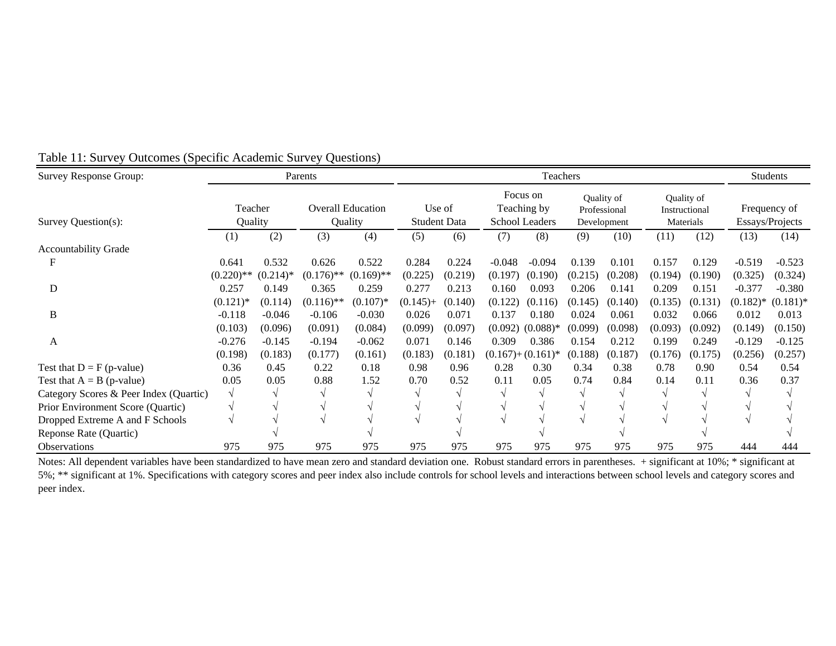| <b>Survey Response Group:</b>          |              | Parents<br>Teachers |              |                          |                     |         |          |                         |         |                            |         |                             | <b>Students</b> |                 |
|----------------------------------------|--------------|---------------------|--------------|--------------------------|---------------------|---------|----------|-------------------------|---------|----------------------------|---------|-----------------------------|-----------------|-----------------|
|                                        | Teacher      |                     |              | <b>Overall Education</b> | Use of              |         |          | Focus on<br>Teaching by |         | Quality of<br>Professional |         | Quality of<br>Instructional |                 | Frequency of    |
| Survey Question(s):                    | Quality      |                     |              | Quality                  | <b>Student Data</b> |         |          | <b>School Leaders</b>   |         | Development                |         | Materials                   |                 | Essays/Projects |
|                                        | (1)          | (2)                 | (3)          | (4)                      | (5)                 | (6)     | (7)      | (8)                     | (9)     | (10)                       | (11)    | (12)                        | (13)            | (14)            |
| <b>Accountability Grade</b>            |              |                     |              |                          |                     |         |          |                         |         |                            |         |                             |                 |                 |
|                                        | 0.641        | 0.532               | 0.626        | 0.522                    | 0.284               | 0.224   | $-0.048$ | $-0.094$                | 0.139   | 0.101                      | 0.157   | 0.129                       | $-0.519$        | $-0.523$        |
|                                        | $(0.220)$ ** | $(0.214)$ *         | $(0.176)$ ** | $(0.169)$ **             | (0.225)             | (0.219) | (0.197)  | (0.190)                 | (0.215) | (0.208)                    | (0.194) | (0.190)                     | (0.325)         | (0.324)         |
| D                                      | 0.257        | 0.149               | 0.365        | 0.259                    | 0.277               | 0.213   | 0.160    | 0.093                   | 0.206   | 0.141                      | 0.209   | 0.151                       | $-0.377$        | $-0.380$        |
|                                        | $(0.121)$ *  | (0.114)             | $(0.116)$ ** | $(0.107)$ *              | $(0.145) +$         | (0.140) | (0.122)  | (0.116)                 | (0.145) | (0.140)                    | (0.135) | (0.131)                     | $(0.182)*$      | $(0.181)$ *     |
| B                                      | $-0.118$     | $-0.046$            | $-0.106$     | $-0.030$                 | 0.026               | 0.071   | 0.137    | 0.180                   | 0.024   | 0.061                      | 0.032   | 0.066                       | 0.012           | 0.013           |
|                                        | (0.103)      | (0.096)             | (0.091)      | (0.084)                  | (0.099)             | (0.097) | (0.092)  | $(0.088)$ *             | (0.099) | (0.098)                    | (0.093) | (0.092)                     | (0.149)         | (0.150)         |
| A                                      | $-0.276$     | $-0.145$            | $-0.194$     | $-0.062$                 | 0.071               | 0.146   | 0.309    | 0.386                   | 0.154   | 0.212                      | 0.199   | 0.249                       | $-0.129$        | $-0.125$        |
|                                        | (0.198)      | (0.183)             | (0.177)      | (0.161)                  | (0.183)             | (0.181) |          | $(0.167)+(0.161)^*$     | (0.188) | (0.187)                    | (0.176) | (0.175)                     | (0.256)         | (0.257)         |
| Test that $D = F(p-value)$             | 0.36         | 0.45                | 0.22         | 0.18                     | 0.98                | 0.96    | 0.28     | 0.30                    | 0.34    | 0.38                       | 0.78    | 0.90                        | 0.54            | 0.54            |
| Test that $A = B$ (p-value)            | 0.05         | 0.05                | 0.88         | 1.52                     | 0.70                | 0.52    | 0.11     | 0.05                    | 0.74    | 0.84                       | 0.14    | 0.11                        | 0.36            | 0.37            |
| Category Scores & Peer Index (Quartic) |              |                     |              |                          |                     |         |          |                         |         |                            |         |                             |                 |                 |
| Prior Environment Score (Quartic)      |              |                     |              |                          |                     |         |          |                         |         |                            |         |                             |                 |                 |
| Dropped Extreme A and F Schools        |              |                     |              |                          |                     |         |          |                         |         |                            |         |                             |                 |                 |
| Reponse Rate (Quartic)                 |              |                     |              |                          |                     |         |          |                         |         |                            |         |                             |                 |                 |
| <b>Observations</b>                    | 975          | 975                 | 975          | 975                      | 975                 | 975     | 975      | 975                     | 975     | 975                        | 975     | 975                         | 444             | 444             |

## Table 11: Survey Outcomes (Specific Academic Survey Questions)

Notes: All dependent variables have been standardized to have mean zero and standard deviation one. Robust standard errors in parentheses. + significant at 10%; \* significant at 5%; \*\* significant at 1%. Specifications with category scores and peer index also include controls for school levels and interactions between school levels and category scores and peer index.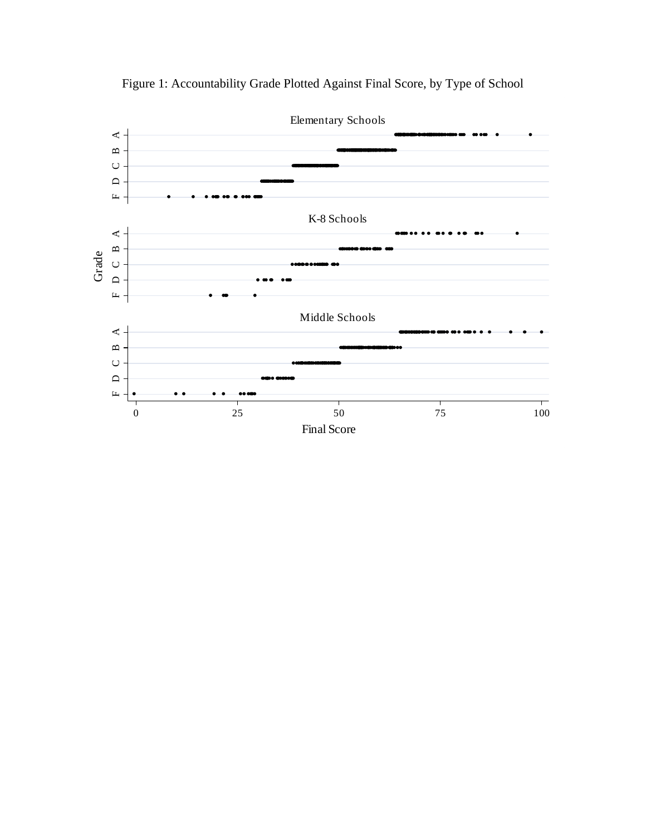

Figure 1: Accountability Grade Plotted Against Final Score, by Type of School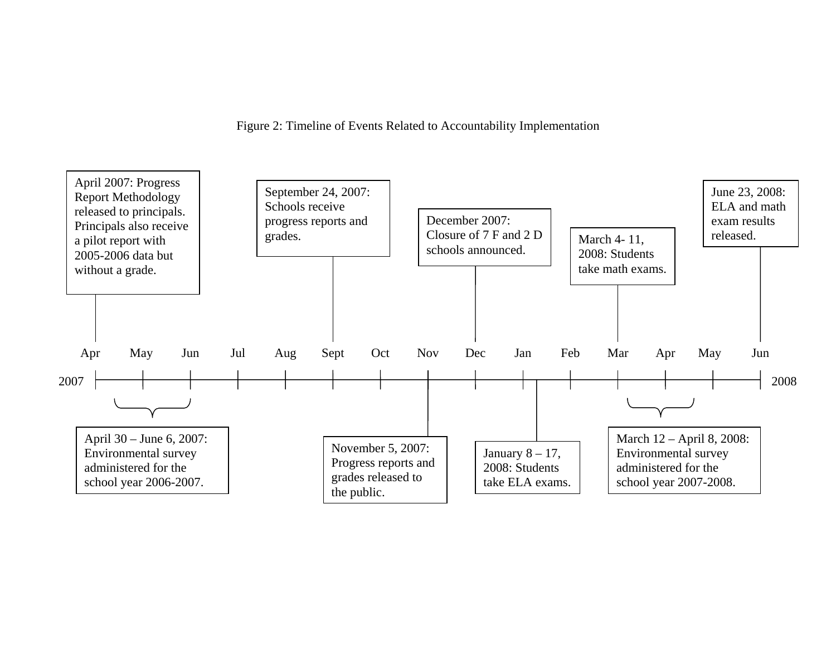Figure 2: Timeline of Events Related to Accountability Implementation

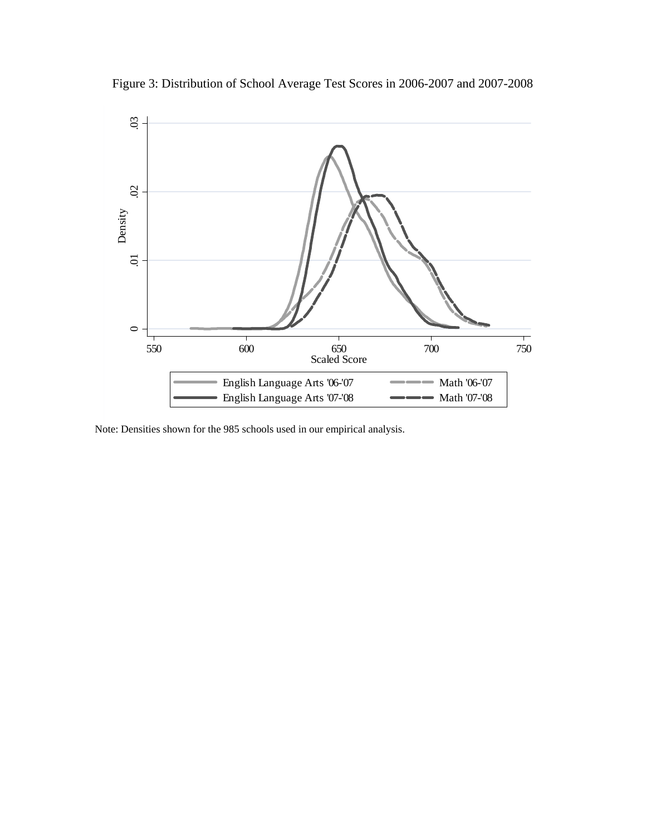

Figure 3: Distribution of School Average Test Scores in 2006-2007 and 2007-2008

Note: Densities shown for the 985 schools used in our empirical analysis.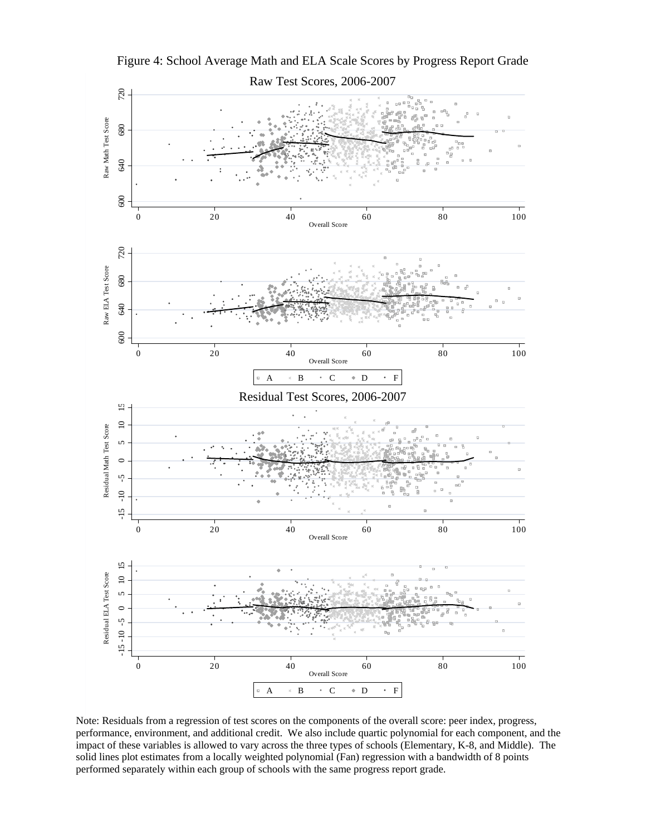

Figure 4: School Average Math and ELA Scale Scores by Progress Report Grade

Note: Residuals from a regression of test scores on the components of the overall score: peer index, progress, performance, environment, and additional credit. We also include quartic polynomial for each component, and the impact of these variables is allowed to vary across the three types of schools (Elementary, K-8, and Middle). The solid lines plot estimates from a locally weighted polynomial (Fan) regression with a bandwidth of 8 points performed separately within each group of schools with the same progress report grade.